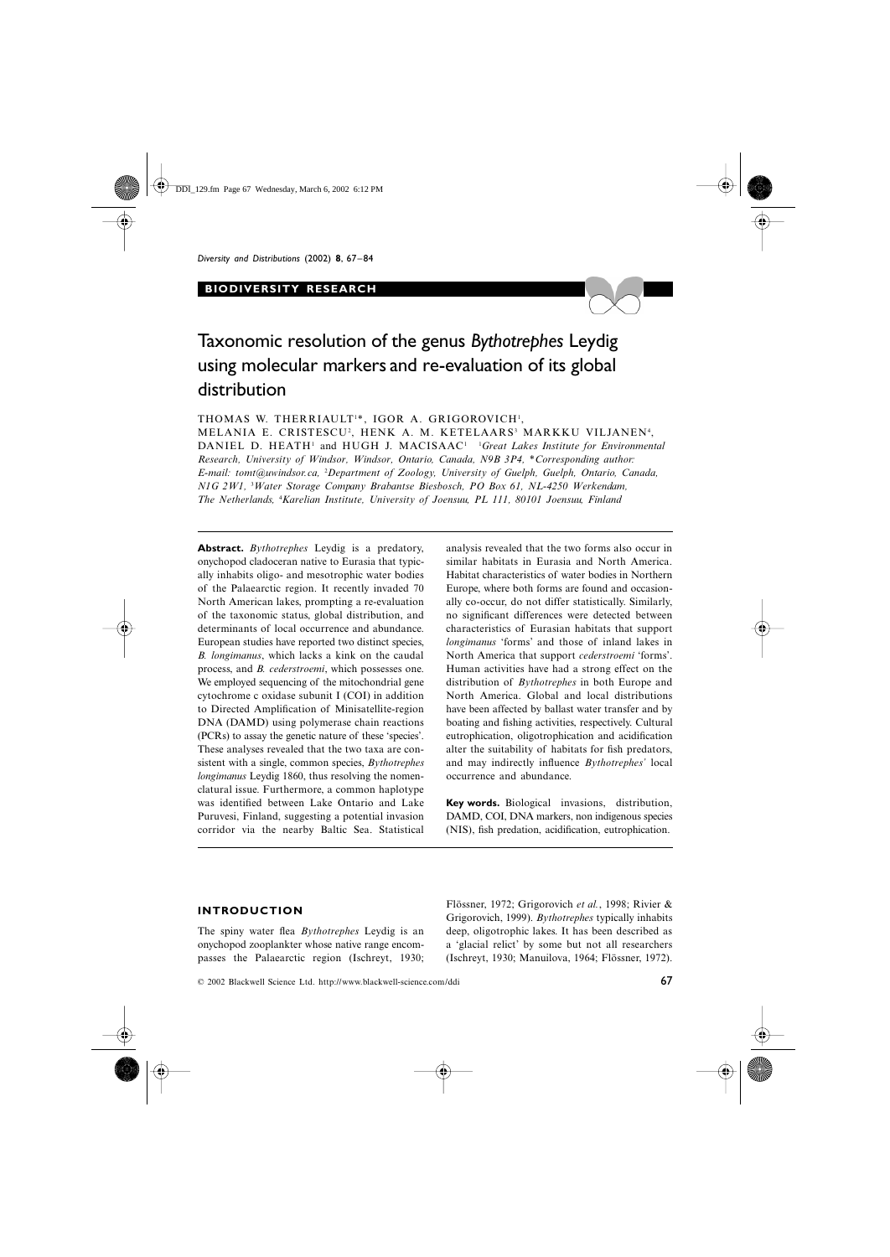## **BIODIVERSITY RESEARCH**



# Taxonomic resolution of the genus *Bythotrephes* Leydig using molecular markers and re-evaluation of its global distribution

THOMAS W. THERRIAULT1 \*, IGOR A. GRIGOROVICH1 , MELANIA E. CRISTESCU<del>', HENK A. M. KETELAARS' MARKKU VILJANEN',</del> DANIEL D. HEATH<sup>1</sup> and HUGH J. MACISAAC<sup>1</sup> <sup>1</sup>Great Lakes Institute for Environmental *Research, University of Windsor, Windsor, Ontario, Canada, N9B 3P4,* \**Corresponding author: E-mail: tomt@uwindsor.ca,* <sup>2</sup> *Department of Zoology, University of Guelph, Guelph, Ontario, Canada, N1G 2W1,* <sup>3</sup> *Water Storage Company Brabantse Biesbosch, PO Box 61, NL-4250 Werkendam, The Netherlands,* <sup>4</sup> *Karelian Institute, University of Joensuu, PL 111, 80101 Joensuu, Finland*

**Abstract.** *Bythotrephes* Leydig is a predatory, onychopod cladoceran native to Eurasia that typically inhabits oligo- and mesotrophic water bodies of the Palaearctic region. It recently invaded 70 North American lakes, prompting a re-evaluation of the taxonomic status, global distribution, and determinants of local occurrence and abundance. European studies have reported two distinct species, *B. longimanus*, which lacks a kink on the caudal process, and *B. cederstroemi*, which possesses one. We employed sequencing of the mitochondrial gene cytochrome c oxidase subunit I (COI) in addition to Directed Amplification of Minisatellite-region DNA (DAMD) using polymerase chain reactions (PCRs) to assay the genetic nature of these 'species'. These analyses revealed that the two taxa are consistent with a single, common species, *Bythotrephes longimanus* Leydig 1860, thus resolving the nomenclatural issue. Furthermore, a common haplotype was identified between Lake Ontario and Lake Puruvesi, Finland, suggesting a potential invasion corridor via the nearby Baltic Sea. Statistical analysis revealed that the two forms also occur in similar habitats in Eurasia and North America. Habitat characteristics of water bodies in Northern Europe, where both forms are found and occasionally co-occur, do not differ statistically. Similarly, no significant differences were detected between characteristics of Eurasian habitats that support *longimanus* 'forms' and those of inland lakes in North America that support *cederstroemi* 'forms'. Human activities have had a strong effect on the distribution of *Bythotrephes* in both Europe and North America. Global and local distributions have been affected by ballast water transfer and by boating and fishing activities, respectively. Cultural eutrophication, oligotrophication and acidification alter the suitability of habitats for fish predators, and may indirectly influence *Bythotrephes'* local occurrence and abundance.

**Key words.** Biological invasions, distribution, DAMD, COI, DNA markers, non indigenous species (NIS), fish predation, acidification, eutrophication.

#### **INTRODUCTION**

The spiny water flea *Bythotrephes* Leydig is an onychopod zooplankter whose native range encompasses the Palaearctic region (Ischreyt, 1930;

Flössner, 1972; Grigorovich *et al.*, 1998; Rivier & Grigorovich, 1999). *Bythotrephes* typically inhabits deep, oligotrophic lakes. It has been described as a 'glacial relict' by some but not all researchers (Ischreyt, 1930; Manuilova, 1964; Flössner, 1972).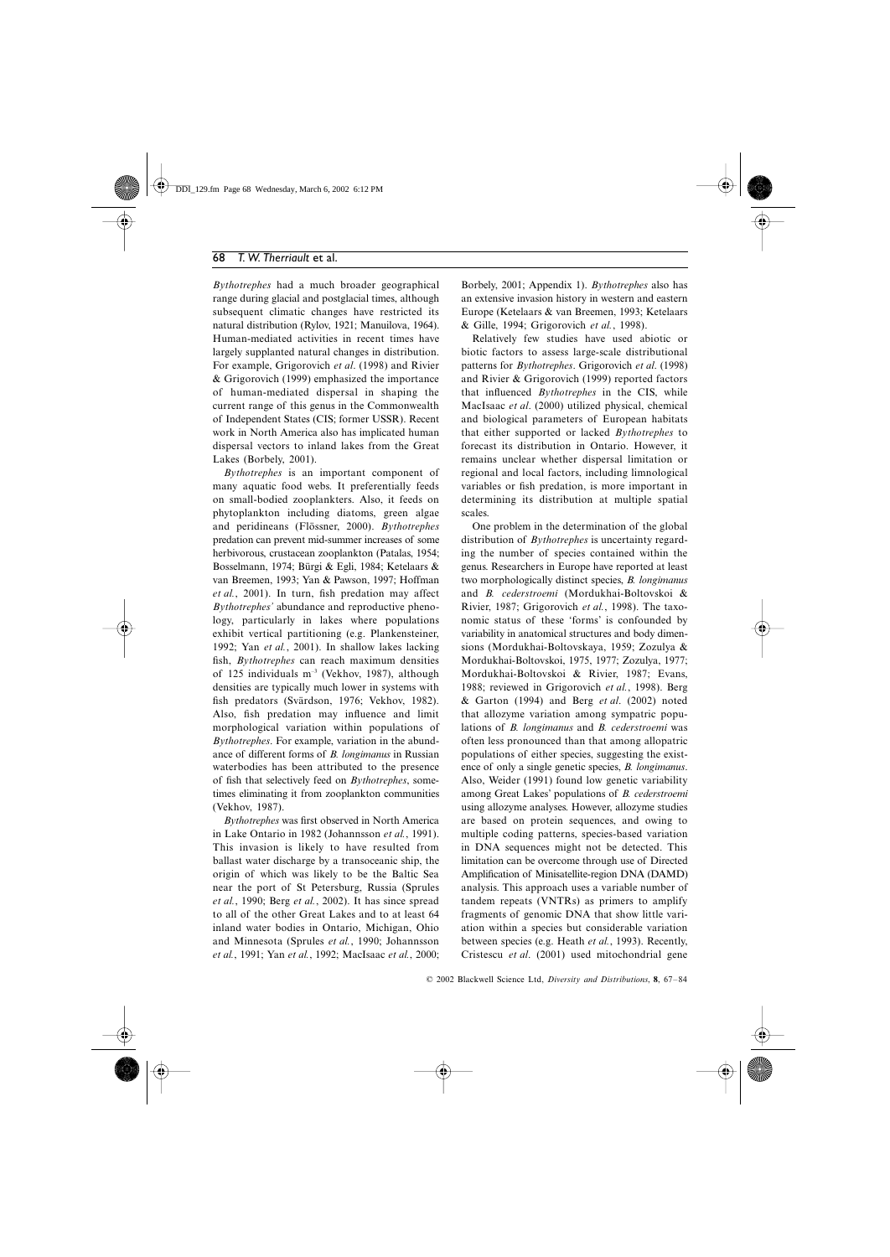*Bythotrephes* had a much broader geographical range during glacial and postglacial times, although subsequent climatic changes have restricted its natural distribution (Rylov, 1921; Manuilova, 1964). Human-mediated activities in recent times have largely supplanted natural changes in distribution. For example, Grigorovich *et al*. (1998) and Rivier & Grigorovich (1999) emphasized the importance of human-mediated dispersal in shaping the current range of this genus in the Commonwealth of Independent States (CIS; former USSR). Recent work in North America also has implicated human dispersal vectors to inland lakes from the Great Lakes (Borbely, 2001).

*Bythotrephes* is an important component of many aquatic food webs. It preferentially feeds on small-bodied zooplankters. Also, it feeds on phytoplankton including diatoms, green algae and peridineans (Flössner, 2000). *Bythotrephes* predation can prevent mid-summer increases of some herbivorous, crustacean zooplankton (Patalas, 1954; Bosselmann, 1974; Bürgi & Egli, 1984; Ketelaars & van Breemen, 1993; Yan & Pawson, 1997; Hoffman *et al.*, 2001). In turn, fish predation may affect *Bythotrephes'* abundance and reproductive phenology, particularly in lakes where populations exhibit vertical partitioning (e.g. Plankensteiner, 1992; Yan *et al.*, 2001). In shallow lakes lacking fish, *Bythotrephes* can reach maximum densities of 125 individuals m–3 (Vekhov, 1987), although densities are typically much lower in systems with fish predators (Svärdson, 1976; Vekhov, 1982). Also, fish predation may influence and limit morphological variation within populations of *Bythotrephes*. For example, variation in the abundance of different forms of *B. longimanus* in Russian waterbodies has been attributed to the presence of fish that selectively feed on *Bythotrephes*, sometimes eliminating it from zooplankton communities (Vekhov, 1987).

*Bythotrephes* was first observed in North America in Lake Ontario in 1982 (Johannsson *et al.*, 1991). This invasion is likely to have resulted from ballast water discharge by a transoceanic ship, the origin of which was likely to be the Baltic Sea near the port of St Petersburg, Russia (Sprules *et al.*, 1990; Berg *et al.*, 2002). It has since spread to all of the other Great Lakes and to at least 64 inland water bodies in Ontario, Michigan, Ohio and Minnesota (Sprules *et al.*, 1990; Johannsson *et al.*, 1991; Yan *et al.*, 1992; MacIsaac *et al.*, 2000; Borbely, 2001; Appendix 1). *Bythotrephes* also has an extensive invasion history in western and eastern Europe (Ketelaars & van Breemen, 1993; Ketelaars & Gille, 1994; Grigorovich *et al.*, 1998).

Relatively few studies have used abiotic or biotic factors to assess large-scale distributional patterns for *Bythotrephes*. Grigorovich *et al*. (1998) and Rivier & Grigorovich (1999) reported factors that influenced *Bythotrephes* in the CIS, while MacIsaac *et al*. (2000) utilized physical, chemical and biological parameters of European habitats that either supported or lacked *Bythotrephes* to forecast its distribution in Ontario. However, it remains unclear whether dispersal limitation or regional and local factors, including limnological variables or fish predation, is more important in determining its distribution at multiple spatial scales.

One problem in the determination of the global distribution of *Bythotrephes* is uncertainty regarding the number of species contained within the genus. Researchers in Europe have reported at least two morphologically distinct species, *B. longimanus* and *B. cederstroemi* (Mordukhai-Boltovskoi & Rivier, 1987; Grigorovich *et al.*, 1998). The taxonomic status of these 'forms' is confounded by variability in anatomical structures and body dimensions (Mordukhai-Boltovskaya, 1959; Zozulya & Mordukhai-Boltovskoi, 1975, 1977; Zozulya, 1977; Mordukhai-Boltovskoi & Rivier, 1987; Evans, 1988; reviewed in Grigorovich *et al.*, 1998). Berg & Garton (1994) and Berg *et al*. (2002) noted that allozyme variation among sympatric populations of *B. longimanus* and *B. cederstroemi* was often less pronounced than that among allopatric populations of either species, suggesting the existence of only a single genetic species, *B. longimanus*. Also, Weider (1991) found low genetic variability among Great Lakes' populations of *B. cederstroemi* using allozyme analyses. However, allozyme studies are based on protein sequences, and owing to multiple coding patterns, species-based variation in DNA sequences might not be detected. This limitation can be overcome through use of Directed Amplification of Minisatellite-region DNA (DAMD) analysis. This approach uses a variable number of tandem repeats (VNTRs) as primers to amplify fragments of genomic DNA that show little variation within a species but considerable variation between species (e.g. Heath *et al.*, 1993). Recently, Cristescu *et al*. (2001) used mitochondrial gene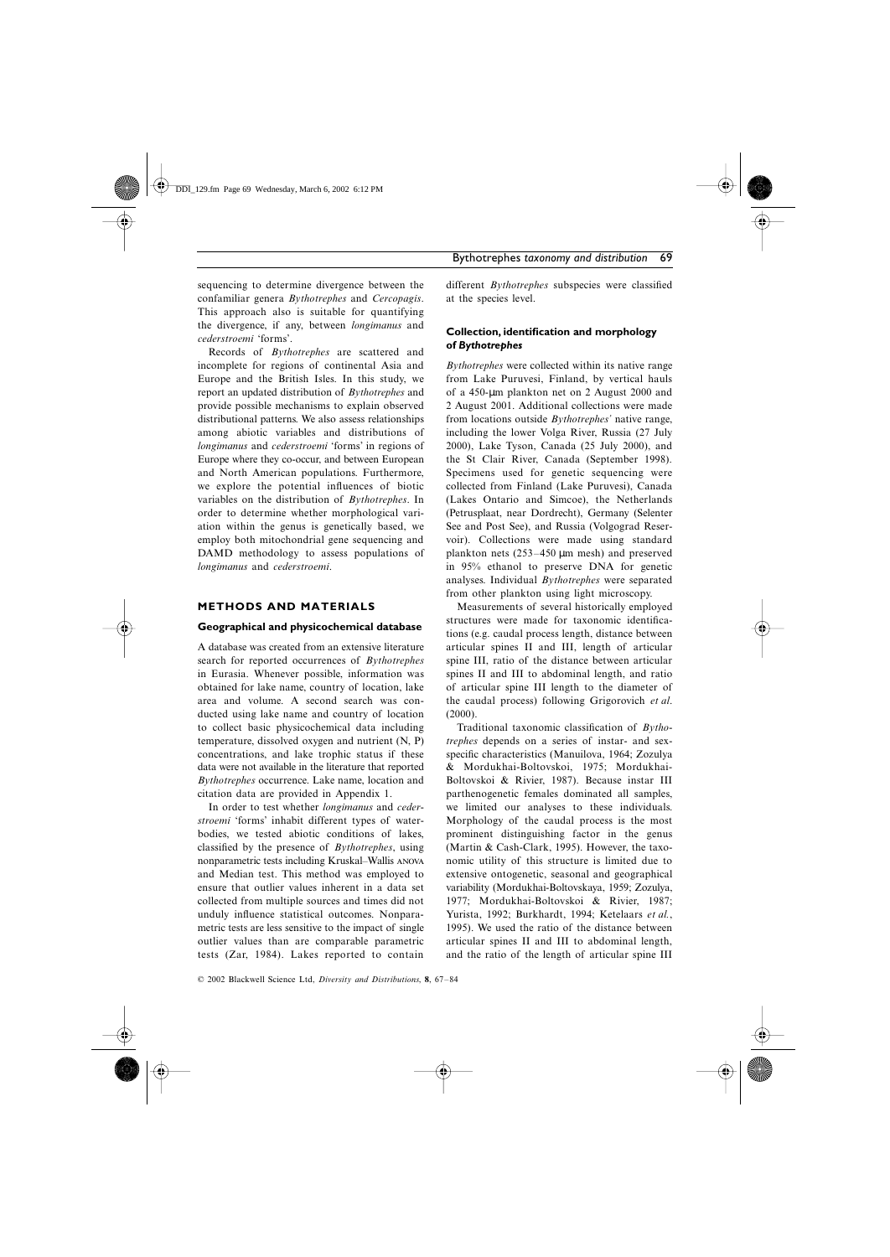sequencing to determine divergence between the confamiliar genera *Bythotrephes* and *Cercopagis*. This approach also is suitable for quantifying the divergence, if any, between *longimanus* and *cederstroemi* 'forms'.

Records of *Bythotrephes* are scattered and incomplete for regions of continental Asia and Europe and the British Isles. In this study, we report an updated distribution of *Bythotrephes* and provide possible mechanisms to explain observed distributional patterns. We also assess relationships among abiotic variables and distributions of *longimanus* and *cederstroemi* 'forms' in regions of Europe where they co-occur, and between European and North American populations. Furthermore, we explore the potential influences of biotic variables on the distribution of *Bythotrephes*. In order to determine whether morphological variation within the genus is genetically based, we employ both mitochondrial gene sequencing and DAMD methodology to assess populations of *longimanus* and *cederstroemi*.

## **METHODS AND MATERIALS**

## **Geographical and physicochemical database**

A database was created from an extensive literature search for reported occurrences of *Bythotrephes* in Eurasia. Whenever possible, information was obtained for lake name, country of location, lake area and volume. A second search was conducted using lake name and country of location to collect basic physicochemical data including temperature, dissolved oxygen and nutrient (N, P) concentrations, and lake trophic status if these data were not available in the literature that reported *Bythotrephes* occurrence. Lake name, location and citation data are provided in Appendix 1.

In order to test whether *longimanus* and *cederstroemi* 'forms' inhabit different types of waterbodies, we tested abiotic conditions of lakes, classified by the presence of *Bythotrephes*, using nonparametric tests including Kruskal–Wallis and Median test. This method was employed to ensure that outlier values inherent in a data set collected from multiple sources and times did not unduly influence statistical outcomes. Nonparametric tests are less sensitive to the impact of single outlier values than are comparable parametric tests (Zar, 1984). Lakes reported to contain different *Bythotrephes* subspecies were classified at the species level.

## **Collection, identification and morphology of** *Bythotrephes*

*Bythotrephes* were collected within its native range from Lake Puruvesi, Finland, by vertical hauls of a 450-µm plankton net on 2 August 2000 and 2 August 2001. Additional collections were made from locations outside *Bythotrephes'* native range, including the lower Volga River, Russia (27 July 2000), Lake Tyson, Canada (25 July 2000), and the St Clair River, Canada (September 1998). Specimens used for genetic sequencing were collected from Finland (Lake Puruvesi), Canada (Lakes Ontario and Simcoe), the Netherlands (Petrusplaat, near Dordrecht), Germany (Selenter See and Post See), and Russia (Volgograd Reservoir). Collections were made using standard plankton nets (253–450 µm mesh) and preserved in 95% ethanol to preserve DNA for genetic analyses. Individual *Bythotrephes* were separated from other plankton using light microscopy.

Measurements of several historically employed structures were made for taxonomic identifications (e.g. caudal process length, distance between articular spines II and III, length of articular spine III, ratio of the distance between articular spines II and III to abdominal length, and ratio of articular spine III length to the diameter of the caudal process) following Grigorovich *et al*. (2000).

Traditional taxonomic classification of *Bythotrephes* depends on a series of instar- and sexspecific characteristics (Manuilova, 1964; Zozulya & Mordukhai-Boltovskoi, 1975; Mordukhai-Boltovskoi & Rivier, 1987). Because instar III parthenogenetic females dominated all samples, we limited our analyses to these individuals. Morphology of the caudal process is the most prominent distinguishing factor in the genus (Martin & Cash-Clark, 1995). However, the taxonomic utility of this structure is limited due to extensive ontogenetic, seasonal and geographical variability (Mordukhai-Boltovskaya, 1959; Zozulya, 1977; Mordukhai-Boltovskoi & Rivier, 1987; Yurista, 1992; Burkhardt, 1994; Ketelaars *et al.*, 1995). We used the ratio of the distance between articular spines II and III to abdominal length, and the ratio of the length of articular spine III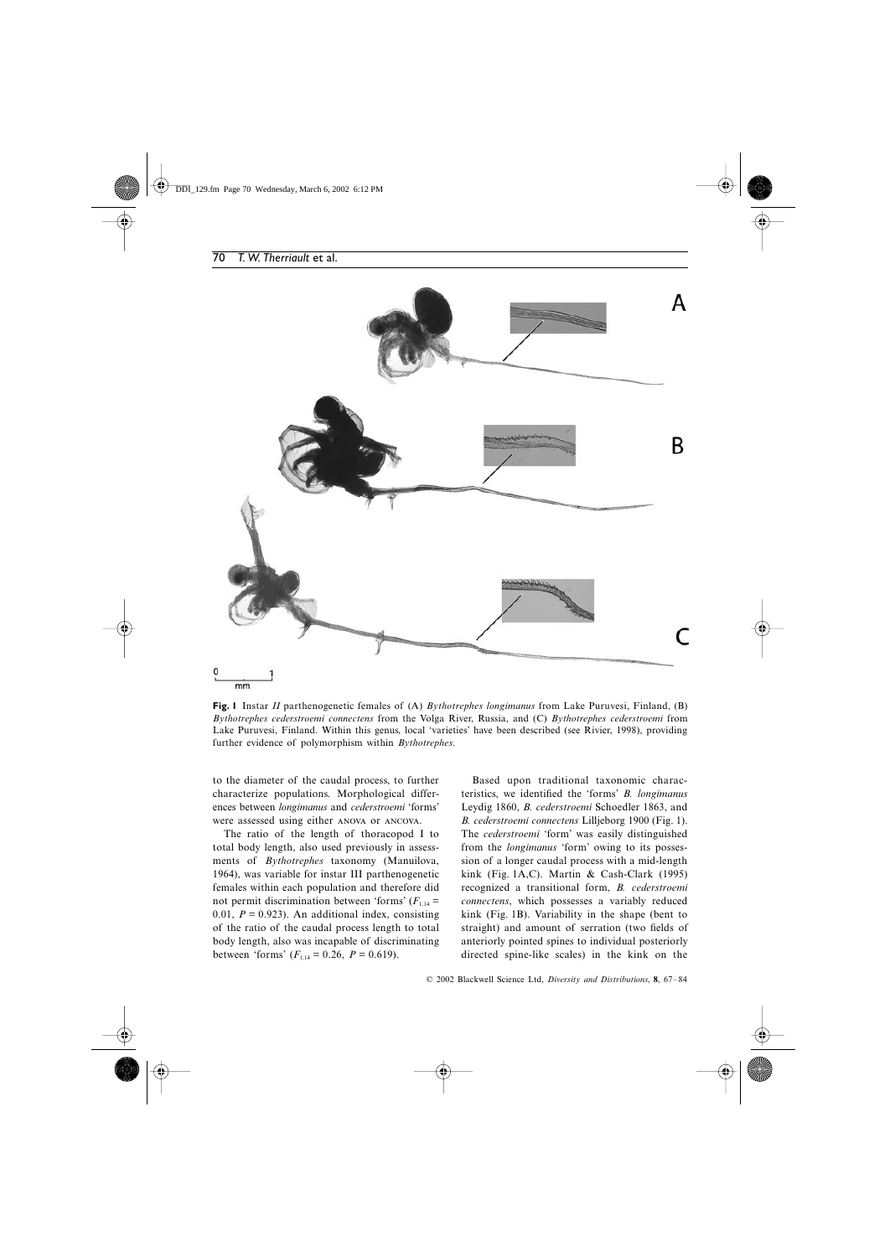

**Fig. 1** Instar *II* parthenogenetic females of (A) *Bythotrephes longimanus* from Lake Puruvesi, Finland, (B) *Bythotrephes cederstroemi connectens* from the Volga River, Russia, and (C) *Bythotrephes cederstroemi* from Lake Puruvesi, Finland. Within this genus, local 'varieties' have been described (see Rivier, 1998), providing further evidence of polymorphism within *Bythotrephes*.

to the diameter of the caudal process, to further characterize populations. Morphological differences between *longimanus* and *cederstroemi* 'forms' were assessed using either ANOVA or ANCOVA.

The ratio of the length of thoracopod I to total body length, also used previously in assessments of *Bythotrephes* taxonomy (Manuilova, 1964), was variable for instar III parthenogenetic females within each population and therefore did not permit discrimination between 'forms'  $(F_{1,14} =$ 0.01,  $P = 0.923$ ). An additional index, consisting of the ratio of the caudal process length to total body length, also was incapable of discriminating between 'forms'  $(F_{1,14} = 0.26, P = 0.619)$ .

Based upon traditional taxonomic characteristics, we identified the 'forms' *B. longimanus* Leydig 1860, *B. cederstroemi* Schoedler 1863, and *B. cederstroemi connectens* Lilljeborg 1900 (Fig. 1). The *cederstroemi* 'form' was easily distinguished from the *longimanus* 'form' owing to its possession of a longer caudal process with a mid-length kink (Fig. 1A,C). Martin & Cash-Clark (1995) recognized a transitional form, *B. cederstroemi connectens*, which possesses a variably reduced kink (Fig. 1B). Variability in the shape (bent to straight) and amount of serration (two fields of anteriorly pointed spines to individual posteriorly directed spine-like scales) in the kink on the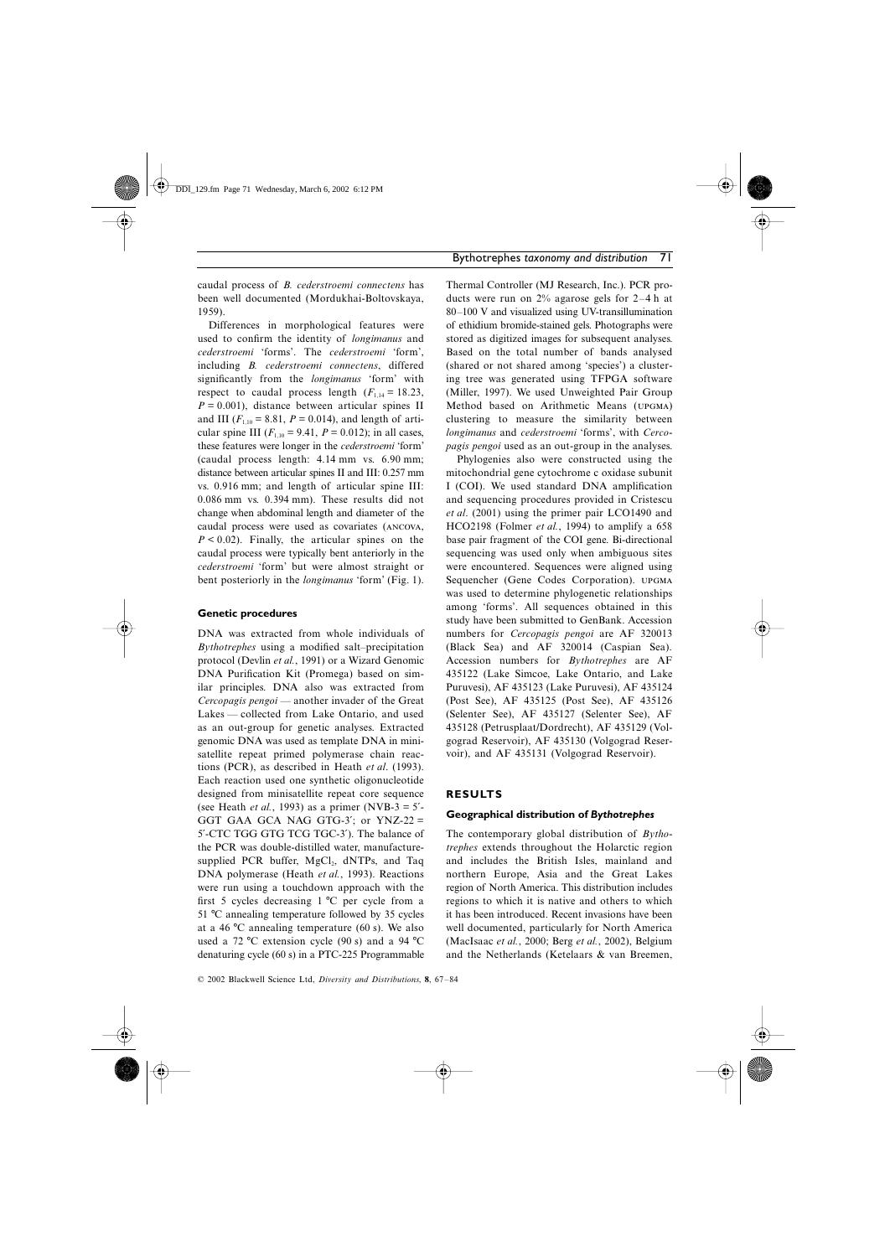caudal process of *B. cederstroemi connectens* has been well documented (Mordukhai-Boltovskaya, 1959).

Differences in morphological features were used to confirm the identity of *longimanus* and *cederstroemi* 'forms'. The *cederstroemi* 'form', including *B. cederstroemi connectens*, differed significantly from the *longimanus* 'form' with respect to caudal process length  $(F_{1,14} = 18.23)$ ,  $P = 0.001$ , distance between articular spines II and III ( $F_{1,10} = 8.81$ ,  $P = 0.014$ ), and length of articular spine III ( $F_{1,10} = 9.41$ ,  $P = 0.012$ ); in all cases, these features were longer in the *cederstroemi* 'form' (caudal process length: 4.14 mm vs. 6.90 mm; distance between articular spines II and III: 0.257 mm vs. 0.916 mm; and length of articular spine III: 0.086 mm vs. 0.394 mm). These results did not change when abdominal length and diameter of the caudal process were used as covariates (ANCOVA,  $P < 0.02$ ). Finally, the articular spines on the caudal process were typically bent anteriorly in the *cederstroemi* 'form' but were almost straight or bent posteriorly in the *longimanus* 'form' (Fig. 1).

## **Genetic procedures**

DNA was extracted from whole individuals of *Bythotrephes* using a modified salt–precipitation protocol (Devlin *et al.*, 1991) or a Wizard Genomic DNA Purification Kit (Promega) based on similar principles. DNA also was extracted from *Cercopagis pengoi* — another invader of the Great Lakes — collected from Lake Ontario, and used as an out-group for genetic analyses. Extracted genomic DNA was used as template DNA in minisatellite repeat primed polymerase chain reactions (PCR), as described in Heath *et al*. (1993). Each reaction used one synthetic oligonucleotide designed from minisatellite repeat core sequence (see Heath *et al.*, 1993) as a primer (NVB-3 = 5′- GGT GAA GCA NAG GTG-3′; or YNZ-22 = 5′-CTC TGG GTG TCG TGC-3′). The balance of the PCR was double-distilled water, manufacturesupplied PCR buffer,  $MgCl<sub>2</sub>$ , dNTPs, and Taq DNA polymerase (Heath *et al.*, 1993). Reactions were run using a touchdown approach with the first 5 cycles decreasing 1 °C per cycle from a 51 °C annealing temperature followed by 35 cycles at a 46 °C annealing temperature (60 s). We also used a 72 °C extension cycle (90 s) and a 94 °C denaturing cycle (60 s) in a PTC-225 Programmable

Thermal Controller (MJ Research, Inc.). PCR products were run on 2% agarose gels for 2–4 h at 80–100 V and visualized using UV-transillumination of ethidium bromide-stained gels. Photographs were stored as digitized images for subsequent analyses. Based on the total number of bands analysed (shared or not shared among 'species') a clustering tree was generated using TFPGA software (Miller, 1997). We used Unweighted Pair Group Method based on Arithmetic Means (UPGMA) clustering to measure the similarity between *longimanus* and *cederstroemi* 'forms', with *Cercopagis pengoi* used as an out-group in the analyses.

Phylogenies also were constructed using the mitochondrial gene cytochrome c oxidase subunit I (COI). We used standard DNA amplification and sequencing procedures provided in Cristescu *et al*. (2001) using the primer pair LCO1490 and HCO2198 (Folmer *et al.*, 1994) to amplify a 658 base pair fragment of the COI gene. Bi-directional sequencing was used only when ambiguous sites were encountered. Sequences were aligned using Sequencher (Gene Codes Corporation). was used to determine phylogenetic relationships among 'forms'. All sequences obtained in this study have been submitted to GenBank. Accession numbers for *Cercopagis pengoi* are AF 320013 (Black Sea) and AF 320014 (Caspian Sea). Accession numbers for *Bythotrephes* are AF 435122 (Lake Simcoe, Lake Ontario, and Lake Puruvesi), AF 435123 (Lake Puruvesi), AF 435124 (Post See), AF 435125 (Post See), AF 435126 (Selenter See), AF 435127 (Selenter See), AF 435128 (Petrusplaat/Dordrecht), AF 435129 (Volgograd Reservoir), AF 435130 (Volgograd Reservoir), and AF 435131 (Volgograd Reservoir).

## **RESULTS**

## **Geographical distribution of** *Bythotrephes*

The contemporary global distribution of *Bythotrephes* extends throughout the Holarctic region and includes the British Isles, mainland and northern Europe, Asia and the Great Lakes region of North America. This distribution includes regions to which it is native and others to which it has been introduced. Recent invasions have been well documented, particularly for North America (MacIsaac *et al.*, 2000; Berg *et al.*, 2002), Belgium and the Netherlands (Ketelaars & van Breemen,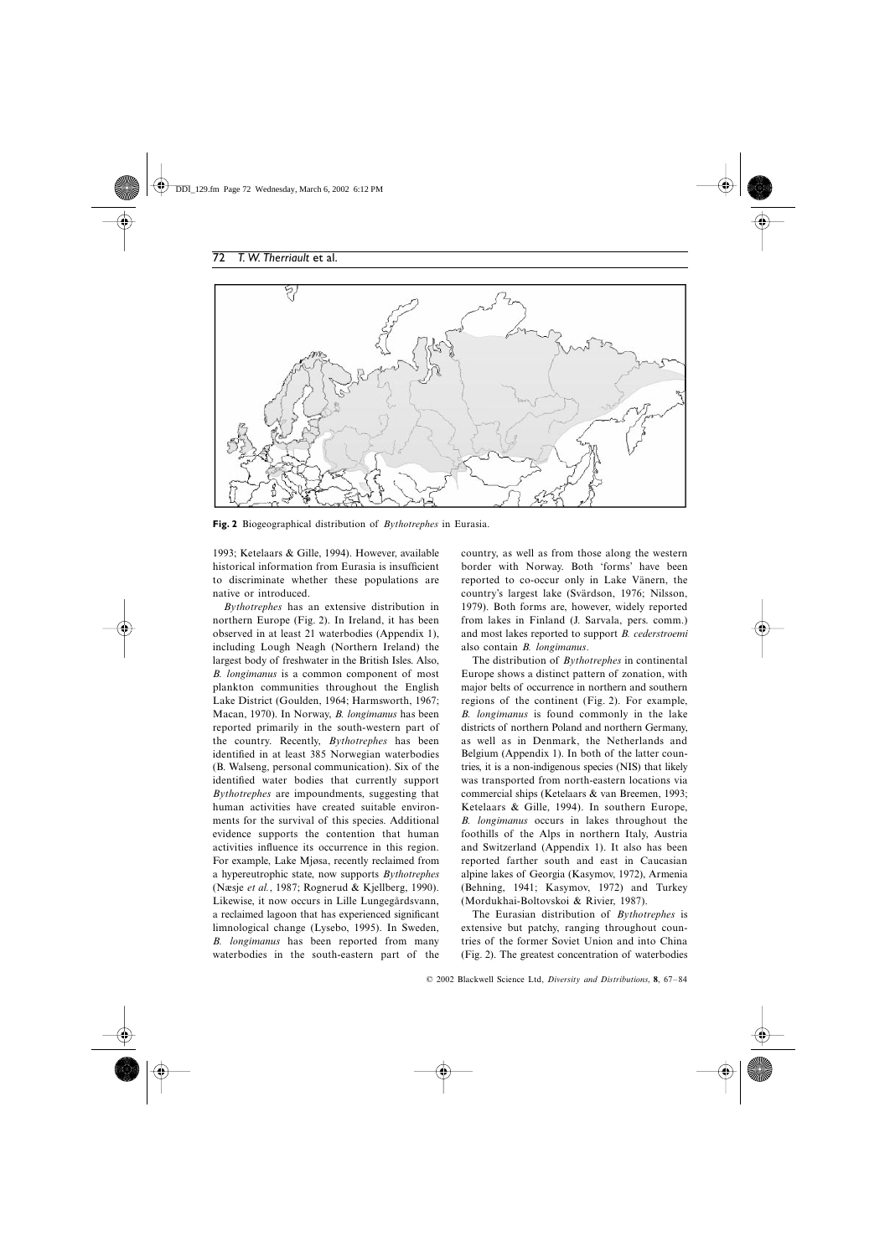

**Fig. 2** Biogeographical distribution of *Bythotrephes* in Eurasia.

1993; Ketelaars & Gille, 1994). However, available historical information from Eurasia is insufficient to discriminate whether these populations are native or introduced.

*Bythotrephes* has an extensive distribution in northern Europe (Fig. 2). In Ireland, it has been observed in at least 21 waterbodies (Appendix 1), including Lough Neagh (Northern Ireland) the largest body of freshwater in the British Isles. Also, *B. longimanus* is a common component of most plankton communities throughout the English Lake District (Goulden, 1964; Harmsworth, 1967; Macan, 1970). In Norway, *B. longimanus* has been reported primarily in the south-western part of the country. Recently, *Bythotrephes* has been identified in at least 385 Norwegian waterbodies (B. Walseng, personal communication). Six of the identified water bodies that currently support *Bythotrephes* are impoundments, suggesting that human activities have created suitable environments for the survival of this species. Additional evidence supports the contention that human activities influence its occurrence in this region. For example, Lake Mjøsa, recently reclaimed from a hypereutrophic state, now supports *Bythotrephes* (Næsje *et al.*, 1987; Rognerud & Kjellberg, 1990). Likewise, it now occurs in Lille Lungegårdsvann, a reclaimed lagoon that has experienced significant limnological change (Lysebo, 1995). In Sweden, *B. longimanus* has been reported from many waterbodies in the south-eastern part of the

country, as well as from those along the western border with Norway. Both 'forms' have been reported to co-occur only in Lake Vänern, the country's largest lake (Svärdson, 1976; Nilsson, 1979). Both forms are, however, widely reported from lakes in Finland (J. Sarvala, pers. comm.) and most lakes reported to support *B. cederstroemi* also contain *B. longimanus*.

The distribution of *Bythotrephes* in continental Europe shows a distinct pattern of zonation, with major belts of occurrence in northern and southern regions of the continent (Fig. 2). For example, *B. longimanus* is found commonly in the lake districts of northern Poland and northern Germany, as well as in Denmark, the Netherlands and Belgium (Appendix 1). In both of the latter countries, it is a non-indigenous species (NIS) that likely was transported from north-eastern locations via commercial ships (Ketelaars & van Breemen, 1993; Ketelaars & Gille, 1994). In southern Europe, *B. longimanus* occurs in lakes throughout the foothills of the Alps in northern Italy, Austria and Switzerland (Appendix 1). It also has been reported farther south and east in Caucasian alpine lakes of Georgia (Kasymov, 1972), Armenia (Behning, 1941; Kasymov, 1972) and Turkey (Mordukhai-Boltovskoi & Rivier, 1987).

The Eurasian distribution of *Bythotrephes* is extensive but patchy, ranging throughout countries of the former Soviet Union and into China (Fig. 2). The greatest concentration of waterbodies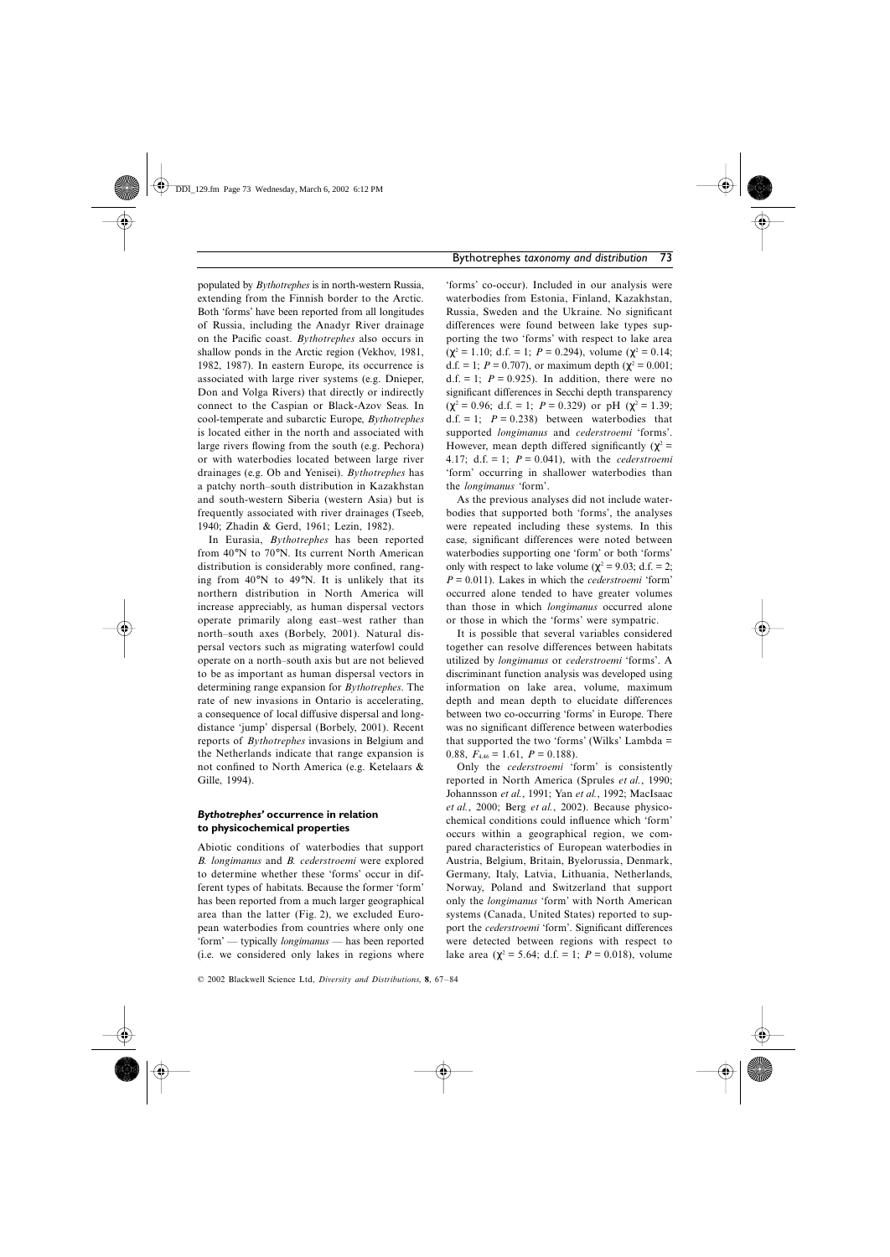populated by *Bythotrephes* is in north-western Russia, extending from the Finnish border to the Arctic. Both 'forms' have been reported from all longitudes of Russia, including the Anadyr River drainage on the Pacific coast. *Bythotrephes* also occurs in shallow ponds in the Arctic region (Vekhov, 1981, 1982, 1987). In eastern Europe, its occurrence is associated with large river systems (e.g. Dnieper, Don and Volga Rivers) that directly or indirectly connect to the Caspian or Black-Azov Seas. In cool-temperate and subarctic Europe, *Bythotrephes* is located either in the north and associated with large rivers flowing from the south (e.g. Pechora) or with waterbodies located between large river drainages (e.g. Ob and Yenisei). *Bythotrephes* has a patchy north–south distribution in Kazakhstan and south-western Siberia (western Asia) but is frequently associated with river drainages (Tseeb, 1940; Zhadin & Gerd, 1961; Lezin, 1982).

In Eurasia, *Bythotrephes* has been reported from 40°N to 70°N. Its current North American distribution is considerably more confined, ranging from 40°N to 49°N. It is unlikely that its northern distribution in North America will increase appreciably, as human dispersal vectors operate primarily along east–west rather than north–south axes (Borbely, 2001). Natural dispersal vectors such as migrating waterfowl could operate on a north–south axis but are not believed to be as important as human dispersal vectors in determining range expansion for *Bythotrephes*. The rate of new invasions in Ontario is accelerating, a consequence of local diffusive dispersal and longdistance 'jump' dispersal (Borbely, 2001). Recent reports of *Bythotrephes* invasions in Belgium and the Netherlands indicate that range expansion is not confined to North America (e.g. Ketelaars & Gille, 1994).

## *Bythotrephes'* **occurrence in relation to physicochemical properties**

Abiotic conditions of waterbodies that support *B. longimanus* and *B. cederstroemi* were explored to determine whether these 'forms' occur in different types of habitats. Because the former 'form' has been reported from a much larger geographical area than the latter (Fig. 2), we excluded European waterbodies from countries where only one 'form' — typically *longimanus* — has been reported (i.e. we considered only lakes in regions where

'forms' co-occur). Included in our analysis were waterbodies from Estonia, Finland, Kazakhstan, Russia, Sweden and the Ukraine. No significant differences were found between lake types supporting the two 'forms' with respect to lake area  $(\chi^2 = 1.10; d.f. = 1; P = 0.294)$ , volume  $(\chi^2 = 0.14;$ d.f. = 1;  $P = 0.707$ ), or maximum depth ( $\chi^2 = 0.001$ ; d.f.  $= 1$ ;  $P = 0.925$ ). In addition, there were no significant differences in Secchi depth transparency  $(\chi^2 = 0.96; d.f. = 1; P = 0.329)$  or pH  $(\chi^2 = 1.39;$ d.f.  $= 1$ ;  $P = 0.238$ ) between waterbodies that supported *longimanus* and *cederstroemi* 'forms'. However, mean depth differed significantly ( $\chi^2$  = 4.17; d.f. = 1; *P* = 0.041), with the *cederstroemi* 'form' occurring in shallower waterbodies than the *longimanus* 'form'.

As the previous analyses did not include waterbodies that supported both 'forms', the analyses were repeated including these systems. In this case, significant differences were noted between waterbodies supporting one 'form' or both 'forms' only with respect to lake volume ( $\chi^2$  = 9.03; d.f. = 2; *P* = 0.011). Lakes in which the *cederstroemi* 'form' occurred alone tended to have greater volumes than those in which *longimanus* occurred alone or those in which the 'forms' were sympatric.

It is possible that several variables considered together can resolve differences between habitats utilized by *longimanus* or *cederstroemi* 'forms'. A discriminant function analysis was developed using information on lake area, volume, maximum depth and mean depth to elucidate differences between two co-occurring 'forms' in Europe. There was no significant difference between waterbodies that supported the two 'forms' (Wilks' Lambda = 0.88,  $F_{4.46} = 1.61$ ,  $P = 0.188$ ).

Only the *cederstroemi* 'form' is consistently reported in North America (Sprules *et al.*, 1990; Johannsson *et al.*, 1991; Yan *et al.*, 1992; MacIsaac *et al.*, 2000; Berg *et al.*, 2002). Because physicochemical conditions could influence which 'form' occurs within a geographical region, we compared characteristics of European waterbodies in Austria, Belgium, Britain, Byelorussia, Denmark, Germany, Italy, Latvia, Lithuania, Netherlands, Norway, Poland and Switzerland that support only the *longimanus* 'form' with North American systems (Canada, United States) reported to support the *cederstroemi* 'form'. Significant differences were detected between regions with respect to lake area ( $χ² = 5.64$ ; d.f. = 1;  $P = 0.018$ ), volume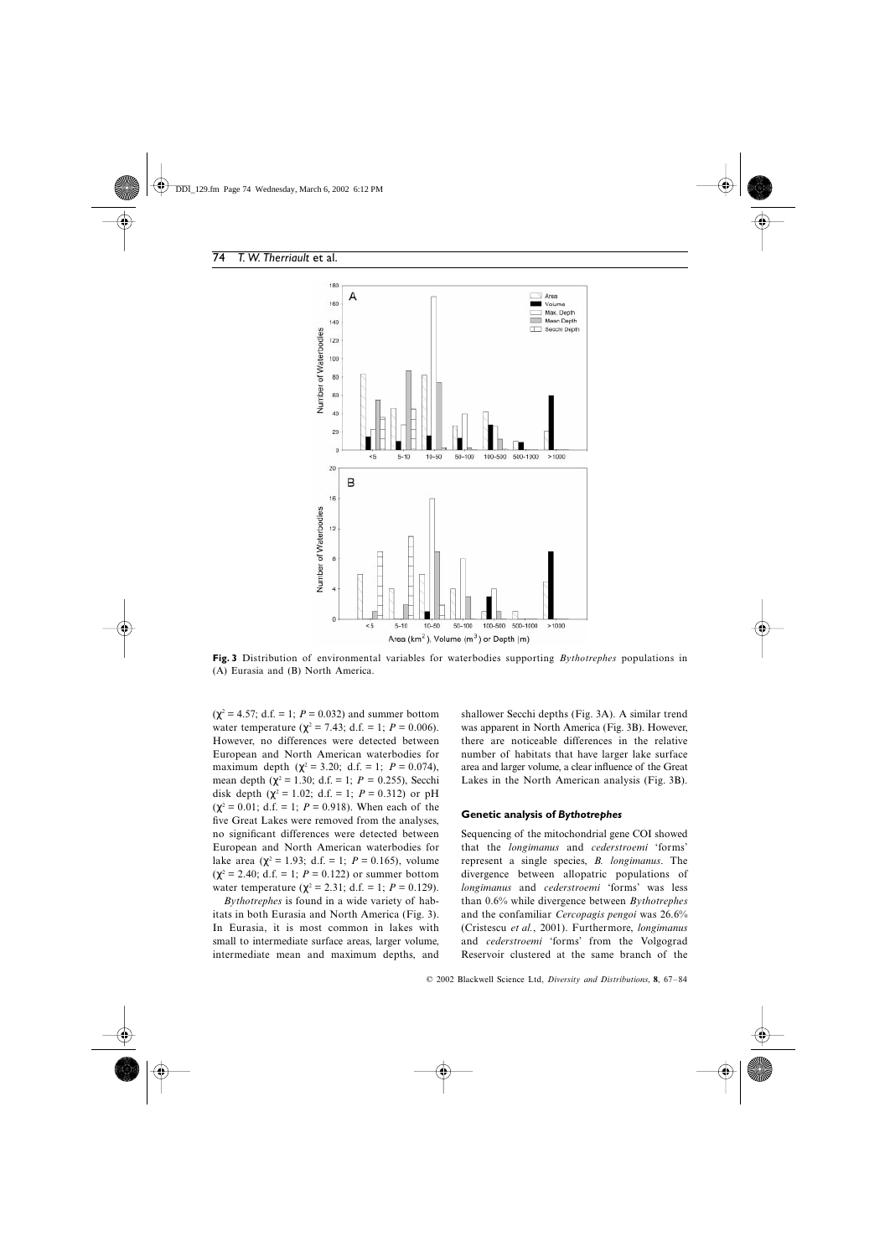

**Fig. 3** Distribution of environmental variables for waterbodies supporting *Bythotrephes* populations in (A) Eurasia and (B) North America.

 $(\chi^2 = 4.57; d.f. = 1; P = 0.032)$  and summer bottom water temperature ( $\chi^2 = 7.43$ ; d.f. = 1; *P* = 0.006). However, no differences were detected between European and North American waterbodies for maximum depth  $(\chi^2 = 3.20; d.f. = 1; P = 0.074)$ , mean depth (χ<sup>2</sup> = 1.30; d.f. = 1; *P* = 0.255), Secchi disk depth  $(\chi^2 = 1.02; d.f. = 1; P = 0.312)$  or pH  $(\chi^2 = 0.01; d.f. = 1; P = 0.918)$ . When each of the five Great Lakes were removed from the analyses, no significant differences were detected between European and North American waterbodies for lake area ( $\chi^2$  = 1.93; d.f. = 1; *P* = 0.165), volume  $(\chi^2 = 2.40; d.f. = 1; P = 0.122)$  or summer bottom water temperature ( $\chi^2 = 2.31$ ; d.f. = 1; *P* = 0.129).

*Bythotrephes* is found in a wide variety of habitats in both Eurasia and North America (Fig. 3). In Eurasia, it is most common in lakes with small to intermediate surface areas, larger volume, intermediate mean and maximum depths, and shallower Secchi depths (Fig. 3A). A similar trend was apparent in North America (Fig. 3B). However, there are noticeable differences in the relative number of habitats that have larger lake surface area and larger volume, a clear influence of the Great Lakes in the North American analysis (Fig. 3B).

#### **Genetic analysis of** *Bythotrephes*

Sequencing of the mitochondrial gene COI showed that the *longimanus* and *cederstroemi* 'forms' represent a single species, *B. longimanus*. The divergence between allopatric populations of *longimanus* and *cederstroemi* 'forms' was less than 0.6% while divergence between *Bythotrephes* and the confamiliar *Cercopagis pengoi* was 26.6% (Cristescu *et al.*, 2001). Furthermore, *longimanus* and *cederstroemi* 'forms' from the Volgograd Reservoir clustered at the same branch of the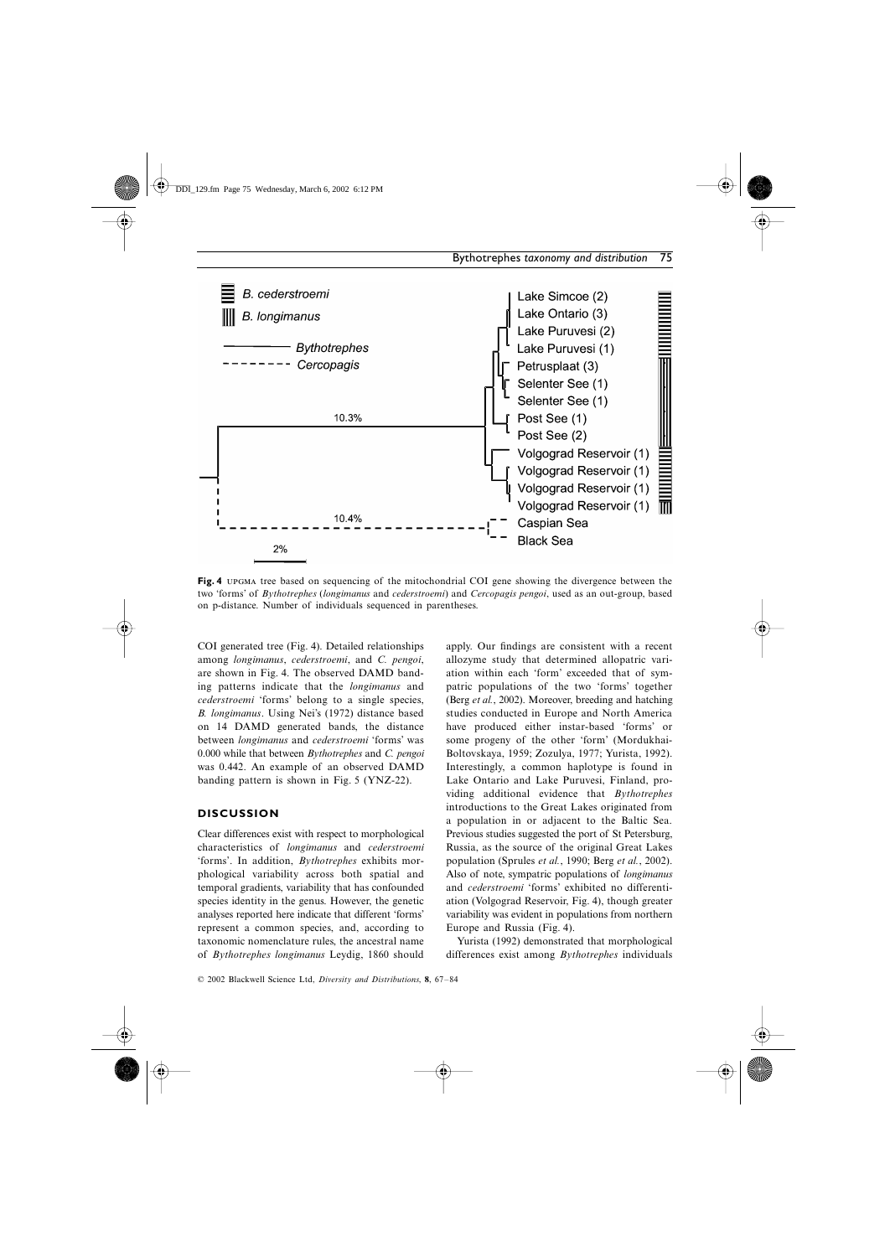

Fig. 4 UPGMA tree based on sequencing of the mitochondrial COI gene showing the divergence between the two 'forms' of *Bythotrephes* (*longimanus* and *cederstroemi*) and *Cercopagis pengoi*, used as an out-group, based on p-distance. Number of individuals sequenced in parentheses.

COI generated tree (Fig. 4). Detailed relationships among *longimanus*, *cederstroemi*, and *C. pengoi*, are shown in Fig. 4. The observed DAMD banding patterns indicate that the *longimanus* and *cederstroemi* 'forms' belong to a single species, *B. longimanus*. Using Nei's (1972) distance based on 14 DAMD generated bands, the distance between *longimanus* and *cederstroemi* 'forms' was 0.000 while that between *Bythotrephes* and *C. pengoi* was 0.442. An example of an observed DAMD banding pattern is shown in Fig. 5 (YNZ-22).

## **DISCUSSION**

Clear differences exist with respect to morphological characteristics of *longimanus* and *cederstroemi* 'forms'. In addition, *Bythotrephes* exhibits morphological variability across both spatial and temporal gradients, variability that has confounded species identity in the genus. However, the genetic analyses reported here indicate that different 'forms' represent a common species, and, according to taxonomic nomenclature rules, the ancestral name of *Bythotrephes longimanus* Leydig, 1860 should allozyme study that determined allopatric variation within each 'form' exceeded that of sympatric populations of the two 'forms' together (Berg *et al.*, 2002). Moreover, breeding and hatching studies conducted in Europe and North America have produced either instar-based 'forms' or some progeny of the other 'form' (Mordukhai-Boltovskaya, 1959; Zozulya, 1977; Yurista, 1992). Interestingly, a common haplotype is found in Lake Ontario and Lake Puruvesi, Finland, providing additional evidence that *Bythotrephes* introductions to the Great Lakes originated from a population in or adjacent to the Baltic Sea. Previous studies suggested the port of St Petersburg, Russia, as the source of the original Great Lakes population (Sprules *et al.*, 1990; Berg *et al.*, 2002). Also of note, sympatric populations of *longimanus* and *cederstroemi* 'forms' exhibited no differentiation (Volgograd Reservoir, Fig. 4), though greater variability was evident in populations from northern Europe and Russia (Fig. 4).

apply. Our findings are consistent with a recent

Yurista (1992) demonstrated that morphological differences exist among *Bythotrephes* individuals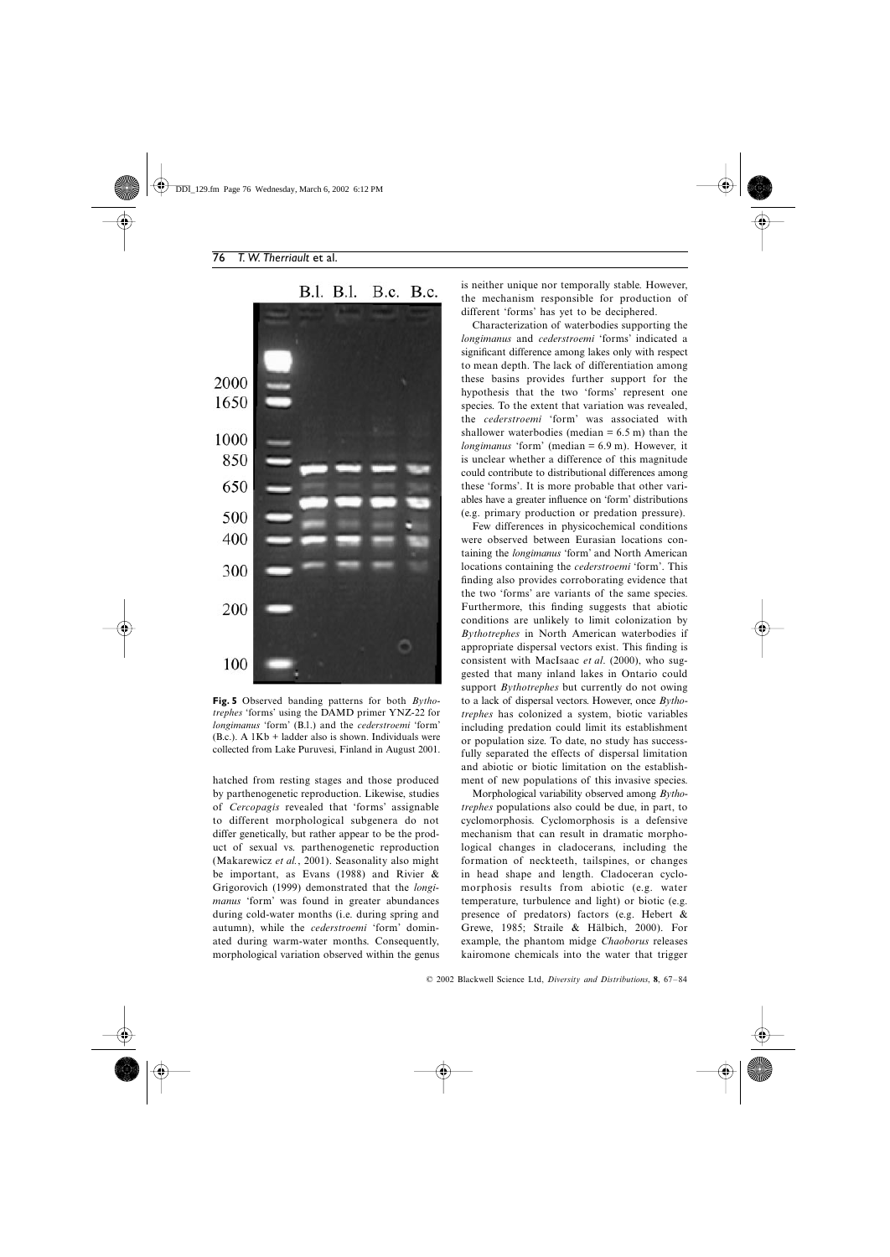

**Fig. 5** Observed banding patterns for both *Bythotrephes* 'forms' using the DAMD primer YNZ-22 for *longimanus* 'form' (B.l.) and the *cederstroemi* 'form'  $(B.c.)$ . A  $1Kb + ladder$  also is shown. Individuals were collected from Lake Puruvesi, Finland in August 2001.

hatched from resting stages and those produced by parthenogenetic reproduction. Likewise, studies of *Cercopagis* revealed that 'forms' assignable to different morphological subgenera do not differ genetically, but rather appear to be the product of sexual vs. parthenogenetic reproduction (Makarewicz *et al.*, 2001). Seasonality also might be important, as Evans (1988) and Rivier & Grigorovich (1999) demonstrated that the *longimanus* 'form' was found in greater abundances during cold-water months (i.e. during spring and autumn), while the *cederstroemi* 'form' dominated during warm-water months. Consequently, morphological variation observed within the genus is neither unique nor temporally stable. However, the mechanism responsible for production of different 'forms' has yet to be deciphered.

Characterization of waterbodies supporting the *longimanus* and *cederstroemi* 'forms' indicated a significant difference among lakes only with respect to mean depth. The lack of differentiation among these basins provides further support for the hypothesis that the two 'forms' represent one species. To the extent that variation was revealed, the *cederstroemi* 'form' was associated with shallower waterbodies (median  $= 6.5$  m) than the *longimanus* 'form' (median = 6.9 m). However, it is unclear whether a difference of this magnitude could contribute to distributional differences among these 'forms'. It is more probable that other variables have a greater influence on 'form' distributions (e.g. primary production or predation pressure).

Few differences in physicochemical conditions were observed between Eurasian locations containing the *longimanus* 'form' and North American locations containing the *cederstroemi* 'form'. This finding also provides corroborating evidence that the two 'forms' are variants of the same species. Furthermore, this finding suggests that abiotic conditions are unlikely to limit colonization by *Bythotrephes* in North American waterbodies if appropriate dispersal vectors exist. This finding is consistent with MacIsaac *et al*. (2000), who suggested that many inland lakes in Ontario could support *Bythotrephes* but currently do not owing to a lack of dispersal vectors. However, once *Bythotrephes* has colonized a system, biotic variables including predation could limit its establishment or population size. To date, no study has successfully separated the effects of dispersal limitation and abiotic or biotic limitation on the establishment of new populations of this invasive species.

Morphological variability observed among *Bythotrephes* populations also could be due, in part, to cyclomorphosis. Cyclomorphosis is a defensive mechanism that can result in dramatic morphological changes in cladocerans, including the formation of neckteeth, tailspines, or changes in head shape and length. Cladoceran cyclomorphosis results from abiotic (e.g. water temperature, turbulence and light) or biotic (e.g. presence of predators) factors (e.g. Hebert & Grewe, 1985; Straile & Hälbich, 2000). For example, the phantom midge *Chaoborus* releases kairomone chemicals into the water that trigger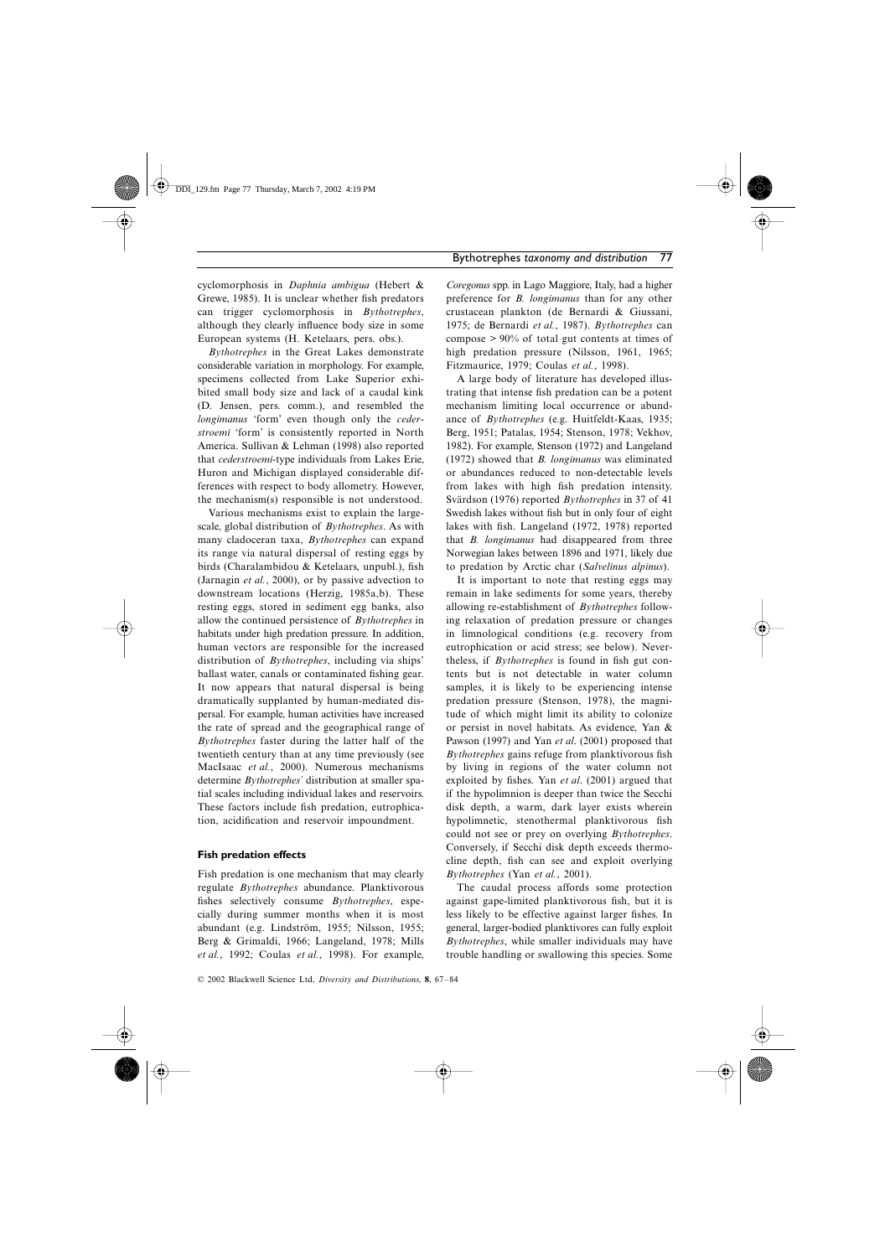cyclomorphosis in *Daphnia ambigua* (Hebert & Grewe, 1985). It is unclear whether fish predators can trigger cyclomorphosis in *Bythotrephes*, although they clearly influence body size in some European systems (H. Ketelaars, pers. obs.).

*Bythotrephes* in the Great Lakes demonstrate considerable variation in morphology. For example, specimens collected from Lake Superior exhibited small body size and lack of a caudal kink (D. Jensen, pers. comm.), and resembled the *longimanus* 'form' even though only the *cederstroemi* 'form' is consistently reported in North America. Sullivan & Lehman (1998) also reported that *cederstroemi*-type individuals from Lakes Erie, Huron and Michigan displayed considerable differences with respect to body allometry. However, the mechanism(s) responsible is not understood.

Various mechanisms exist to explain the largescale, global distribution of *Bythotrephes*. As with many cladoceran taxa, *Bythotrephes* can expand its range via natural dispersal of resting eggs by birds (Charalambidou & Ketelaars, unpubl.), fish (Jarnagin *et al.*, 2000), or by passive advection to downstream locations (Herzig, 1985a,b). These resting eggs, stored in sediment egg banks, also allow the continued persistence of *Bythotrephes* in habitats under high predation pressure. In addition, human vectors are responsible for the increased distribution of *Bythotrephes*, including via ships' ballast water, canals or contaminated fishing gear. It now appears that natural dispersal is being dramatically supplanted by human-mediated dispersal. For example, human activities have increased the rate of spread and the geographical range of *Bythotrephes* faster during the latter half of the twentieth century than at any time previously (see MacIsaac *et al.*, 2000). Numerous mechanisms determine *Bythotrephes'* distribution at smaller spatial scales including individual lakes and reservoirs. These factors include fish predation, eutrophication, acidification and reservoir impoundment.

#### **Fish predation effects**

Fish predation is one mechanism that may clearly regulate *Bythotrephes* abundance. Planktivorous fishes selectively consume *Bythotrephes*, especially during summer months when it is most abundant (e.g. Lindström, 1955; Nilsson, 1955; Berg & Grimaldi, 1966; Langeland, 1978; Mills *et al.*, 1992; Coulas *et al.*, 1998). For example,

*Coregonus* spp. in Lago Maggiore, Italy, had a higher preference for *B. longimanus* than for any other crustacean plankton (de Bernardi & Giussani, 1975; de Bernardi *et al.*, 1987). *Bythotrephes* can compose > 90% of total gut contents at times of high predation pressure (Nilsson, 1961, 1965; Fitzmaurice, 1979; Coulas *et al.*, 1998).

A large body of literature has developed illustrating that intense fish predation can be a potent mechanism limiting local occurrence or abundance of *Bythotrephes* (e.g. Huitfeldt-Kaas, 1935; Berg, 1951; Patalas, 1954; Stenson, 1978; Vekhov, 1982). For example, Stenson (1972) and Langeland (1972) showed that *B. longimanus* was eliminated or abundances reduced to non-detectable levels from lakes with high fish predation intensity. Svärdson (1976) reported *Bythotrephes* in 37 of 41 Swedish lakes without fish but in only four of eight lakes with fish. Langeland (1972, 1978) reported that *B. longimanus* had disappeared from three Norwegian lakes between 1896 and 1971, likely due to predation by Arctic char (*Salvelinus alpinus*).

It is important to note that resting eggs may remain in lake sediments for some years, thereby allowing re-establishment of *Bythotrephes* following relaxation of predation pressure or changes in limnological conditions (e.g. recovery from eutrophication or acid stress; see below). Nevertheless, if *Bythotrephes* is found in fish gut contents but is not detectable in water column samples, it is likely to be experiencing intense predation pressure (Stenson, 1978), the magnitude of which might limit its ability to colonize or persist in novel habitats. As evidence, Yan & Pawson (1997) and Yan *et al*. (2001) proposed that *Bythotrephes* gains refuge from planktivorous fish by living in regions of the water column not exploited by fishes. Yan *et al*. (2001) argued that if the hypolimnion is deeper than twice the Secchi disk depth, a warm, dark layer exists wherein hypolimnetic, stenothermal planktivorous fish could not see or prey on overlying *Bythotrephes*. Conversely, if Secchi disk depth exceeds thermocline depth, fish can see and exploit overlying *Bythotrephes* (Yan *et al.*, 2001).

The caudal process affords some protection against gape-limited planktivorous fish, but it is less likely to be effective against larger fishes. In general, larger-bodied planktivores can fully exploit *Bythotrephes*, while smaller individuals may have trouble handling or swallowing this species. Some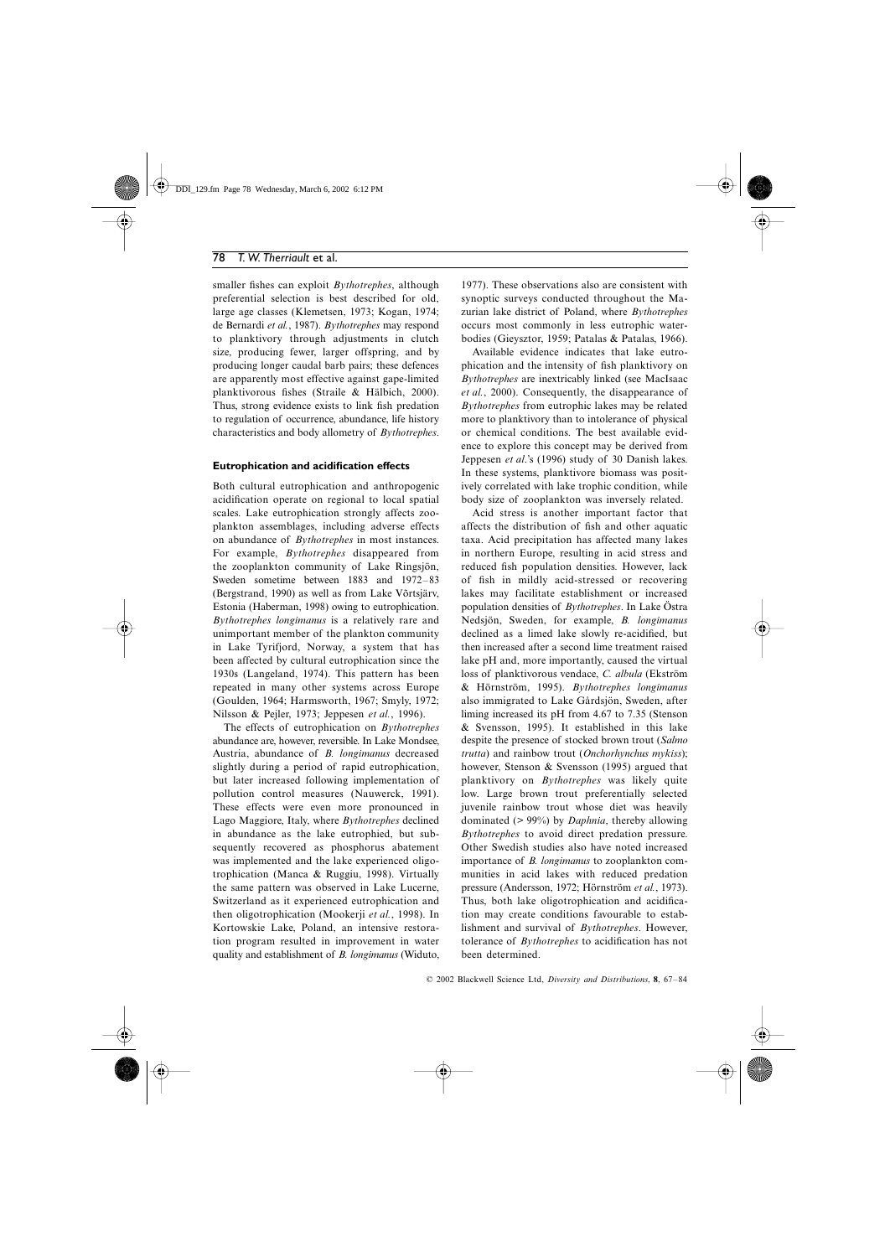smaller fishes can exploit *Bythotrephes*, although preferential selection is best described for old, large age classes (Klemetsen, 1973; Kogan, 1974; de Bernardi *et al.*, 1987). *Bythotrephes* may respond to planktivory through adjustments in clutch size, producing fewer, larger offspring, and by producing longer caudal barb pairs; these defences are apparently most effective against gape-limited planktivorous fishes (Straile & Hälbich, 2000). Thus, strong evidence exists to link fish predation to regulation of occurrence, abundance, life history characteristics and body allometry of *Bythotrephes*.

#### **Eutrophication and acidification effects**

Both cultural eutrophication and anthropogenic acidification operate on regional to local spatial scales. Lake eutrophication strongly affects zooplankton assemblages, including adverse effects on abundance of *Bythotrephes* in most instances. For example, *Bythotrephes* disappeared from the zooplankton community of Lake Ringsjön, Sweden sometime between 1883 and 1972–83 (Bergstrand, 1990) as well as from Lake Võrtsjärv, Estonia (Haberman, 1998) owing to eutrophication. *Bythotrephes longimanus* is a relatively rare and unimportant member of the plankton community in Lake Tyrifjord, Norway, a system that has been affected by cultural eutrophication since the 1930s (Langeland, 1974). This pattern has been repeated in many other systems across Europe (Goulden, 1964; Harmsworth, 1967; Smyly, 1972; Nilsson & Pejler, 1973; Jeppesen *et al.*, 1996).

The effects of eutrophication on *Bythotrephes* abundance are, however, reversible. In Lake Mondsee, Austria, abundance of *B. longimanus* decreased slightly during a period of rapid eutrophication, but later increased following implementation of pollution control measures (Nauwerck, 1991). These effects were even more pronounced in Lago Maggiore, Italy, where *Bythotrephes* declined in abundance as the lake eutrophied, but subsequently recovered as phosphorus abatement was implemented and the lake experienced oligotrophication (Manca & Ruggiu, 1998). Virtually the same pattern was observed in Lake Lucerne, Switzerland as it experienced eutrophication and then oligotrophication (Mookerji *et al.*, 1998). In Kortowskie Lake, Poland, an intensive restoration program resulted in improvement in water quality and establishment of *B. longimanus* (Widuto,

1977). These observations also are consistent with synoptic surveys conducted throughout the Mazurian lake district of Poland, where *Bythotrephes* occurs most commonly in less eutrophic waterbodies (Gieysztor, 1959; Patalas & Patalas, 1966).

Available evidence indicates that lake eutrophication and the intensity of fish planktivory on *Bythotrephes* are inextricably linked (see MacIsaac *et al.*, 2000). Consequently, the disappearance of *Bythotrephes* from eutrophic lakes may be related more to planktivory than to intolerance of physical or chemical conditions. The best available evidence to explore this concept may be derived from Jeppesen *et al*.'s (1996) study of 30 Danish lakes. In these systems, planktivore biomass was positively correlated with lake trophic condition, while body size of zooplankton was inversely related.

Acid stress is another important factor that affects the distribution of fish and other aquatic taxa. Acid precipitation has affected many lakes in northern Europe, resulting in acid stress and reduced fish population densities. However, lack of fish in mildly acid-stressed or recovering lakes may facilitate establishment or increased population densities of *Bythotrephes*. In Lake Östra Nedsjön, Sweden, for example, *B. longimanus* declined as a limed lake slowly re-acidified, but then increased after a second lime treatment raised lake pH and, more importantly, caused the virtual loss of planktivorous vendace, *C. albula* (Ekström & Hörnström, 1995). *Bythotrephes longimanus* also immigrated to Lake Gårdsjön, Sweden, after liming increased its pH from 4.67 to 7.35 (Stenson & Svensson, 1995). It established in this lake despite the presence of stocked brown trout (*Salmo trutta*) and rainbow trout (*Onchorhynchus mykiss*); however, Stenson & Svensson (1995) argued that planktivory on *Bythotrephes* was likely quite low. Large brown trout preferentially selected juvenile rainbow trout whose diet was heavily dominated (> 99%) by *Daphnia*, thereby allowing *Bythotrephes* to avoid direct predation pressure. Other Swedish studies also have noted increased importance of *B. longimanus* to zooplankton communities in acid lakes with reduced predation pressure (Andersson, 1972; Hörnström *et al.*, 1973). Thus, both lake oligotrophication and acidification may create conditions favourable to establishment and survival of *Bythotrephes*. However, tolerance of *Bythotrephes* to acidification has not been determined.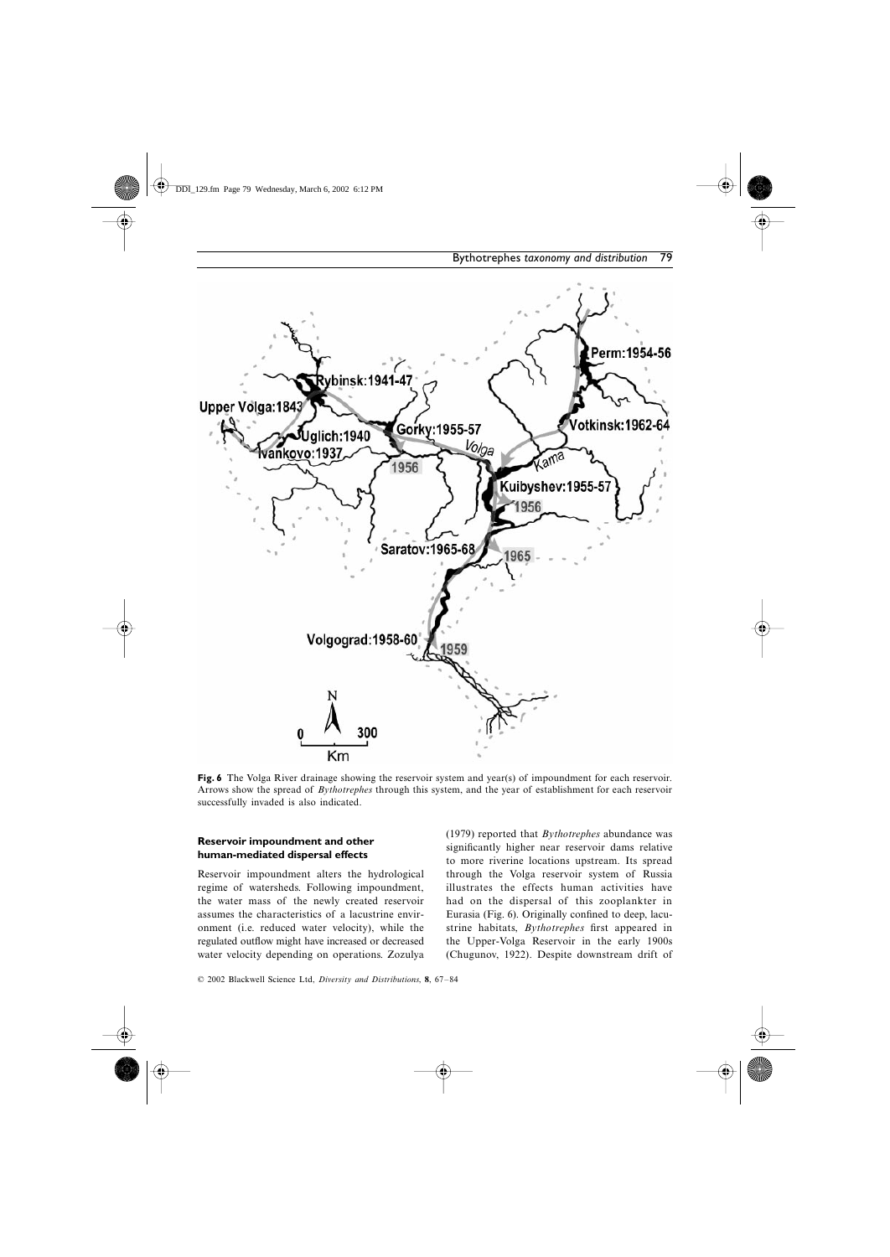

**Fig. 6** The Volga River drainage showing the reservoir system and year(s) of impoundment for each reservoir. Arrows show the spread of *Bythotrephes* through this system, and the year of establishment for each reservoir successfully invaded is also indicated.

## **Reservoir impoundment and other human-mediated dispersal effects**

Reservoir impoundment alters the hydrological regime of watersheds. Following impoundment, the water mass of the newly created reservoir assumes the characteristics of a lacustrine environment (i.e. reduced water velocity), while the regulated outflow might have increased or decreased water velocity depending on operations. Zozulya (1979) reported that *Bythotrephes* abundance was significantly higher near reservoir dams relative to more riverine locations upstream. Its spread through the Volga reservoir system of Russia illustrates the effects human activities have had on the dispersal of this zooplankter in Eurasia (Fig. 6). Originally confined to deep, lacustrine habitats, *Bythotrephes* first appeared in the Upper-Volga Reservoir in the early 1900s (Chugunov, 1922). Despite downstream drift of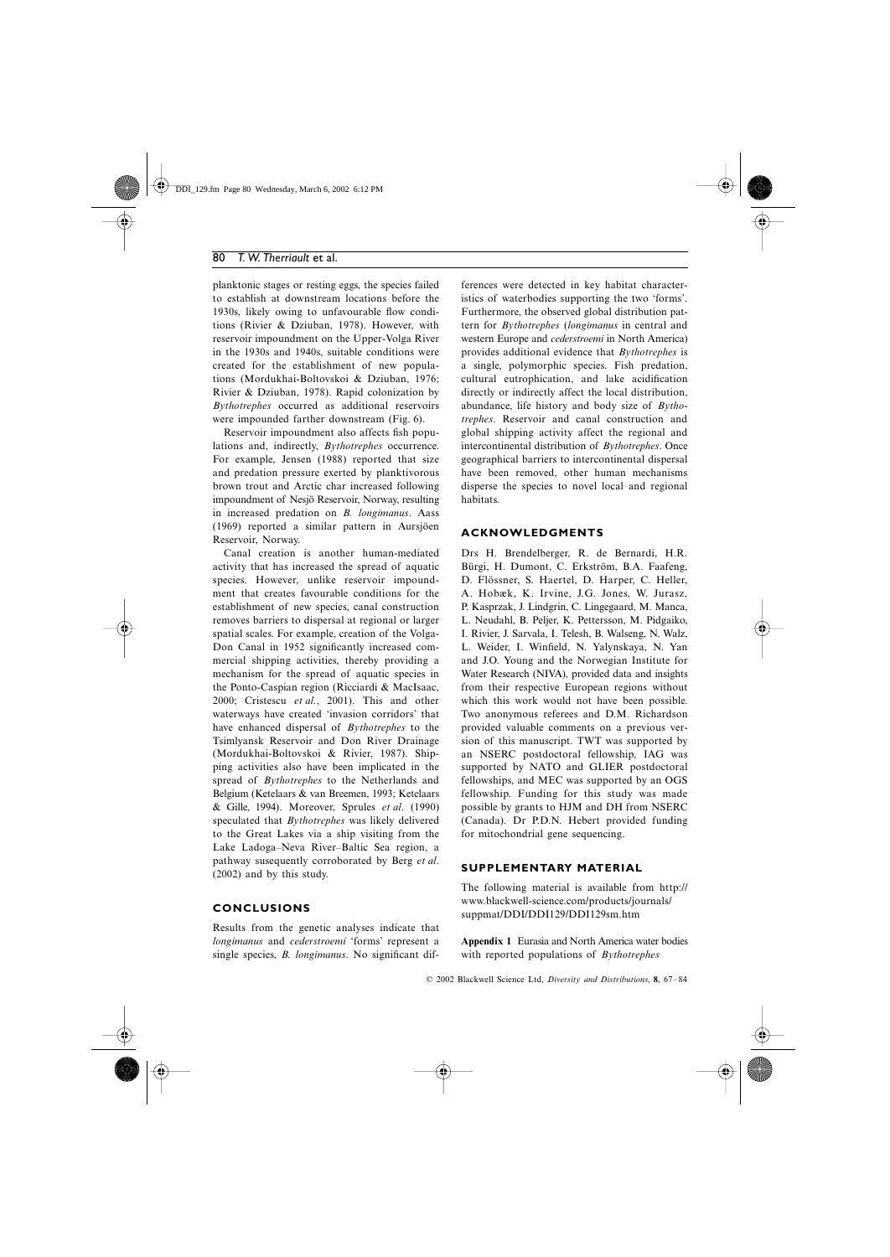planktonic stages or resting eggs, the species failed to establish at downstream locations before the 1930s, likely owing to unfavourable flow conditions (Rivier & Dziuban, 1978). However, with reservoir impoundment on the Upper-Volga River in the 1930s and 1940s, suitable conditions were created for the establishment of new populations (Mordukhai-Boltovskoi & Dziuban, 1976; Rivier & Dziuban, 1978). Rapid colonization by *Bythotrephes* occurred as additional reservoirs were impounded farther downstream (Fig. 6).

Reservoir impoundment also affects fish populations and, indirectly, *Bythotrephes* occurrence. For example, Jensen (1988) reported that size and predation pressure exerted by planktivorous brown trout and Arctic char increased following impoundment of Nesjö Reservoir, Norway, resulting in increased predation on *B. longimanus*. Aass (1969) reported a similar pattern in Aursjöen Reservoir, Norway.

Canal creation is another human-mediated activity that has increased the spread of aquatic species. However, unlike reservoir impoundment that creates favourable conditions for the establishment of new species, canal construction removes barriers to dispersal at regional or larger spatial scales. For example, creation of the Volga-Don Canal in 1952 significantly increased commercial shipping activities, thereby providing a mechanism for the spread of aquatic species in the Ponto-Caspian region (Ricciardi & MacIsaac, 2000; Cristescu *et al.*, 2001). This and other waterways have created 'invasion corridors' that have enhanced dispersal of *Bythotrephes* to the Tsimlyansk Reservoir and Don River Drainage (Mordukhai-Boltovskoi & Rivier, 1987). Shipping activities also have been implicated in the spread of *Bythotrephes* to the Netherlands and Belgium (Ketelaars & van Breemen, 1993; Ketelaars & Gille, 1994). Moreover, Sprules *et al*. (1990) speculated that *Bythotrephes* was likely delivered to the Great Lakes via a ship visiting from the Lake Ladoga–Neva River–Baltic Sea region, a pathway susequently corroborated by Berg *et al*. (2002) and by this study.

# **CONCLUSIONS**

Results from the genetic analyses indicate that *longimanus* and *cederstroemi* 'forms' represent a single species, *B. longimanus*. No significant differences were detected in key habitat characteristics of waterbodies supporting the two 'forms'. Furthermore, the observed global distribution pattern for *Bythotrephes* (*longimanus* in central and western Europe and *cederstroemi* in North America) provides additional evidence that *Bythotrephes* is a single, polymorphic species. Fish predation, cultural eutrophication, and lake acidification directly or indirectly affect the local distribution, abundance, life history and body size of *Bythotrephes*. Reservoir and canal construction and global shipping activity affect the regional and intercontinental distribution of *Bythotrephes*. Once geographical barriers to intercontinental dispersal have been removed, other human mechanisms disperse the species to novel local and regional habitats.

## **ACKNOWLEDGMENTS**

Drs H. Brendelberger, R. de Bernardi, H.R. Bürgi, H. Dumont, C. Erkström, B.A. Faafeng, D. Flössner, S. Haertel, D. Harper, C. Heller, A. Hobæk, K. Irvine, J.G. Jones, W. Jurasz, P. Kasprzak, J. Lindgrin, C. Lingegaard, M. Manca, L. Neudahl, B. Peljer, K. Pettersson, M. Pidgaiko, I. Rivier, J. Sarvala, I. Telesh, B. Walseng, N. Walz, L. Weider, I. Winfield, N. Yalynskaya, N. Yan and J.O. Young and the Norwegian Institute for Water Research (NIVA), provided data and insights from their respective European regions without which this work would not have been possible. Two anonymous referees and D.M. Richardson provided valuable comments on a previous version of this manuscript. TWT was supported by an NSERC postdoctoral fellowship, IAG was supported by NATO and GLIER postdoctoral fellowships, and MEC was supported by an OGS fellowship. Funding for this study was made possible by grants to HJM and DH from NSERC (Canada). Dr P.D.N. Hebert provided funding for mitochondrial gene sequencing.

# **SUPPLEMENTARY MATERIAL**

The following material is available from http:// www.blackwell-science.com/products/journals/ suppmat/DDI/DDI129/DDI129sm.htm

**Appendix 1** Eurasia and North America water bodies with reported populations of *Bythotrephes*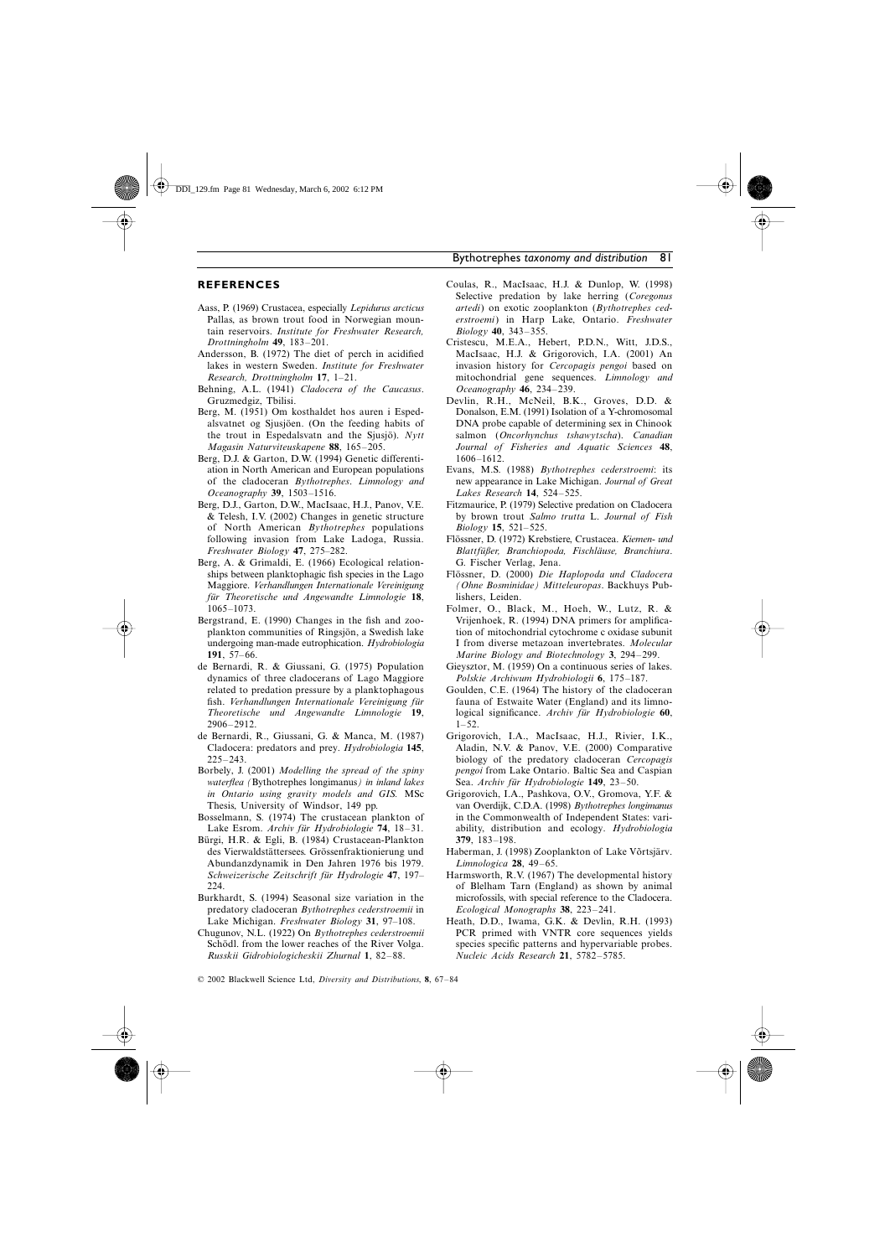## **REFERENCES**

- Aass, P. (1969) Crustacea, especially *Lepidurus arcticus* Pallas, as brown trout food in Norwegian mountain reservoirs. *Institute for Freshwater Research, Drottningholm* **49**, 183–201.
- Andersson, B. (1972) The diet of perch in acidified lakes in western Sweden. *Institute for Freshwater Research, Drottningholm* **17**, 1–21.
- Behning, A.L. (1941) *Cladocera of the Caucasus*. Gruzmedgiz, Tbilisi.
- Berg, M. (1951) Om kosthaldet hos auren i Espedalsvatnet og Sjusjöen. (On the feeding habits of the trout in Espedalsvatn and the Sjusjö). *Nytt Magasin Naturviteuskapene* **88**, 165–205.
- Berg, D.J. & Garton, D.W. (1994) Genetic differentiation in North American and European populations of the cladoceran *Bythotrephes*. *Limnology and Oceanography* **39**, 1503–1516.
- Berg, D.J., Garton, D.W., MacIsaac, H.J., Panov, V.E. & Telesh, I.V. (2002) Changes in genetic structure of North American *Bythotrephes* populations following invasion from Lake Ladoga, Russia. *Freshwater Biology* **47**, 275–282.
- Berg, A. & Grimaldi, E. (1966) Ecological relationships between planktophagic fish species in the Lago Maggiore. *Verhandlungen Internationale Vereinigung für Theoretische und Angewandte Limnologie* **18**, 1065–1073.
- Bergstrand, E. (1990) Changes in the fish and zooplankton communities of Ringsjön, a Swedish lake undergoing man-made eutrophication. *Hydrobiologia* **191**, 57–66.
- de Bernardi, R. & Giussani, G. (1975) Population dynamics of three cladocerans of Lago Maggiore related to predation pressure by a planktophagous fish. *Verhandlungen Internationale Vereinigung für Theoretische und Angewandte Limnologie* **19**, 2906–2912.
- de Bernardi, R., Giussani, G. & Manca, M. (1987) Cladocera: predators and prey. *Hydrobiologia* **145**, 225–243.
- Borbely, J. (2001) *Modelling the spread of the spiny waterflea (*Bythotrephes longimanus*) in inland lakes in Ontario using gravity models and GIS.* MSc Thesis, University of Windsor, 149 pp.
- Bosselmann, S. (1974) The crustacean plankton of Lake Esrom. *Archiv für Hydrobiologie* **74**, 18–31.
- Bürgi, H.R. & Egli, B. (1984) Crustacean-Plankton des Vierwaldstättersees. Grössenfraktionierung und Abundanzdynamik in Den Jahren 1976 bis 1979. *Schweizerische Zeitschrift für Hydrologie* **47**, 197– 224.
- Burkhardt, S. (1994) Seasonal size variation in the predatory cladoceran *Bythotrephes cederstroemii* in Lake Michigan. *Freshwater Biology* **31**, 97–108.
- Chugunov, N.L. (1922) On *Bythotrephes cederstroemii* Schödl. from the lower reaches of the River Volga. *Russkii Gidrobiologicheskii Zhurnal* **1**, 82–88.
- Coulas, R., MacIsaac, H.J. & Dunlop, W. (1998) Selective predation by lake herring (*Coregonus artedi*) on exotic zooplankton (*Bythotrephes cederstroemi*) in Harp Lake, Ontario. *Freshwater Biology* **40**, 343–355.
- Cristescu, M.E.A., Hebert, P.D.N., Witt, J.D.S., MacIsaac, H.J. & Grigorovich, I.A. (2001) An invasion history for *Cercopagis pengoi* based on mitochondrial gene sequences. *Limnology and Oceanography* **46**, 234–239.
- Devlin, R.H., McNeil, B.K., Groves, D.D. & Donalson, E.M. (1991) Isolation of a Y-chromosomal DNA probe capable of determining sex in Chinook salmon (*Oncorhynchus tshawytscha*). *Canadian Journal of Fisheries and Aquatic Sciences* **48**, 1606–1612.
- Evans, M.S. (1988) *Bythotrephes cederstroemi*: its new appearance in Lake Michigan. *Journal of Great Lakes Research* **14**, 524–525.
- Fitzmaurice, P. (1979) Selective predation on Cladocera by brown trout *Salmo trutta* L. *Journal of Fish Biology* **15**, 521–525.
- Flössner, D. (1972) Krebstiere, Crustacea. *Kiemen- und Blattfüßer, Branchiopoda, Fischläuse, Branchiura*. G. Fischer Verlag, Jena.
- Flössner, D. (2000) *Die Haplopoda und Cladocera (Ohne Bosminidae) Mitteleuropas*. Backhuys Publishers, Leiden.
- Folmer, O., Black, M., Hoeh, W., Lutz, R. & Vrijenhoek, R. (1994) DNA primers for amplification of mitochondrial cytochrome c oxidase subunit I from diverse metazoan invertebrates. *Molecular Marine Biology and Biotechnology* **3**, 294–299.
- Gieysztor, M. (1959) On a continuous series of lakes. *Polskie Archiwum Hydrobiologii* **6**, 175–187.
- Goulden, C.E. (1964) The history of the cladoceran fauna of Estwaite Water (England) and its limnological significance. *Archiv für Hydrobiologie* **60**,  $1 - 52$ .
- Grigorovich, I.A., MacIsaac, H.J., Rivier, I.K., Aladin, N.V. & Panov, V.E. (2000) Comparative biology of the predatory cladoceran *Cercopagis pengoi* from Lake Ontario. Baltic Sea and Caspian Sea. *Archiv für Hydrobiologie* **149**, 23–50.
- Grigorovich, I.A., Pashkova, O.V., Gromova, Y.F. & van Overdijk, C.D.A. (1998) *Bythotrephes longimanus* in the Commonwealth of Independent States: variability, distribution and ecology. *Hydrobiologia* **379**, 183–198.
- Haberman, J. (1998) Zooplankton of Lake Võrtsjärv. *Limnologica* **28**, 49–65.
- Harmsworth, R.V. (1967) The developmental history of Blelham Tarn (England) as shown by animal microfossils, with special reference to the Cladocera. *Ecological Monographs* **38**, 223–241.
- Heath, D.D., Iwama, G.K. & Devlin, R.H. (1993) PCR primed with VNTR core sequences yields species specific patterns and hypervariable probes. *Nucleic Acids Research* **21**, 5782–5785.

<sup>© 2002</sup> Blackwell Science Ltd, *Diversity and Distributions*, **8**, 67–84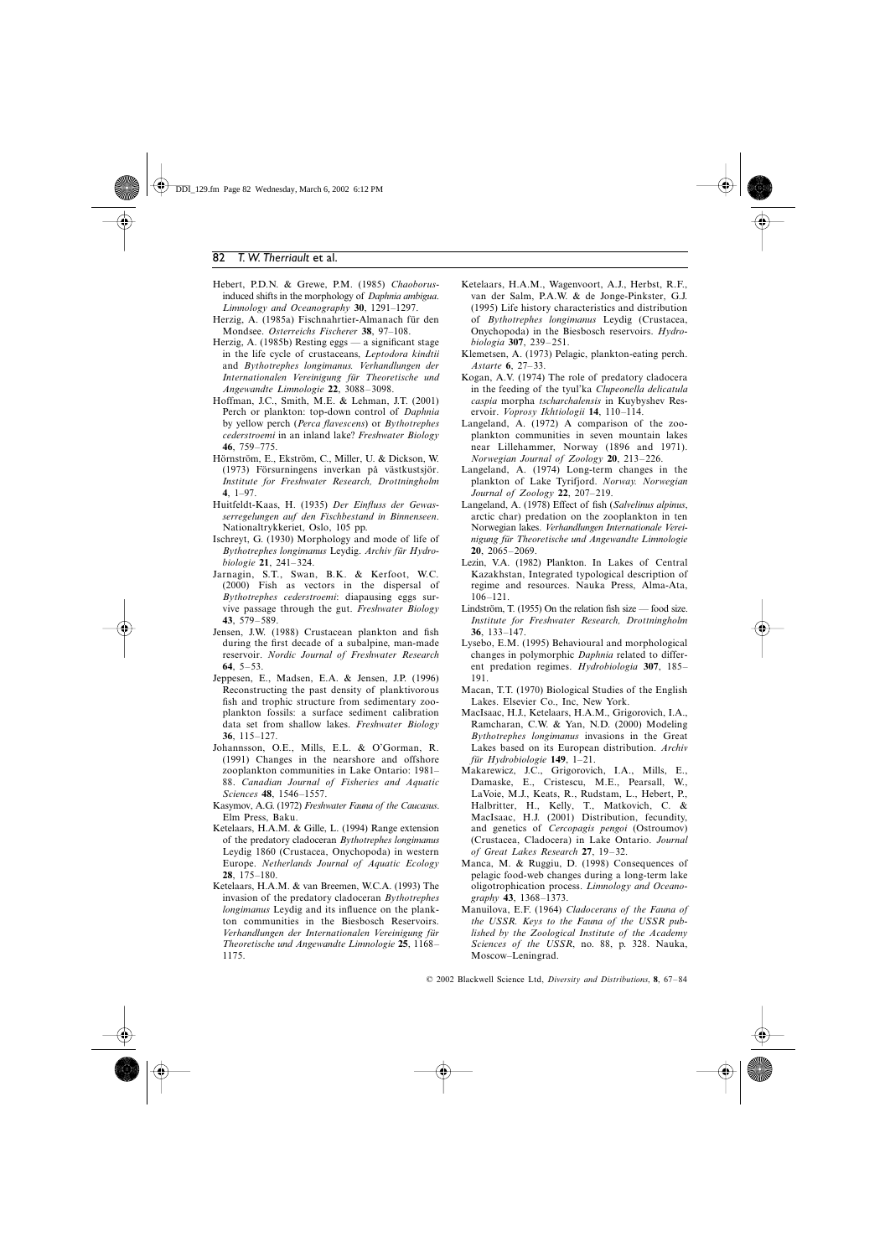- Hebert, P.D.N. & Grewe, P.M. (1985) *Chaoborus*induced shifts in the morphology of *Daphnia ambigua*. *Limnology and Oceanography* **30**, 1291–1297.
- Herzig, A. (1985a) Fischnahrtier-Almanach für den Mondsee. *Osterreichs Fischerer* **38**, 97–108.
- Herzig, A. (1985b) Resting eggs a significant stage in the life cycle of crustaceans, *Leptodora kindtii* and *Bythotrephes longimanus. Verhandlungen der Internationalen Vereinigung für Theoretische und Angewandte Limnologie* **22**, 3088–3098.
- Hoffman, J.C., Smith, M.E. & Lehman, J.T. (2001) Perch or plankton: top-down control of *Daphnia* by yellow perch (*Perca flavescens*) or *Bythotrephes cederstroemi* in an inland lake? *Freshwater Biology* **46**, 759–775.
- Hörnström, E., Ekström, C., Miller, U. & Dickson, W. (1973) Försurningens inverkan på västkustsjör. *Institute for Freshwater Research, Drottningholm* **4**, 1–97.
- Huitfeldt-Kaas, H. (1935) *Der Einfluss der Gewasserregelungen auf den Fischbestand in Binnenseen*. Nationaltrykkeriet, Oslo, 105 pp.
- Ischreyt, G. (1930) Morphology and mode of life of *Bythotrephes longimanus* Leydig. *Archiv für Hydrobiologie* **21**, 241–324.
- Jarnagin, S.T., Swan, B.K. & Kerfoot, W.C. (2000) Fish as vectors in the dispersal of *Bythotrephes cederstroemi*: diapausing eggs survive passage through the gut. *Freshwater Biology* **43**, 579–589.
- Jensen, J.W. (1988) Crustacean plankton and fish during the first decade of a subalpine, man-made reservoir. *Nordic Journal of Freshwater Research* **64**, 5–53.
- Jeppesen, E., Madsen, E.A. & Jensen, J.P. (1996) Reconstructing the past density of planktivorous fish and trophic structure from sedimentary zooplankton fossils: a surface sediment calibration data set from shallow lakes. *Freshwater Biology* **36**, 115–127.
- Johannsson, O.E., Mills, E.L. & O'Gorman, R. (1991) Changes in the nearshore and offshore zooplankton communities in Lake Ontario: 1981– 88. *Canadian Journal of Fisheries and Aquatic Sciences* **48**, 1546–1557.
- Kasymov, A.G. (1972) *Freshwater Fauna of the Caucasus*. Elm Press, Baku.
- Ketelaars, H.A.M. & Gille, L. (1994) Range extension of the predatory cladoceran *Bythotrephes longimanus* Leydig 1860 (Crustacea, Onychopoda) in western Europe. *Netherlands Journal of Aquatic Ecology* **28**, 175–180.
- Ketelaars, H.A.M. & van Breemen, W.C.A. (1993) The invasion of the predatory cladoceran *Bythotrephes longimanus* Leydig and its influence on the plankton communities in the Biesbosch Reservoirs. *Verhandlungen der Internationalen Vereinigung für Theoretische und Angewandte Limnologie* **25**, 1168– 1175.
- Ketelaars, H.A.M., Wagenvoort, A.J., Herbst, R.F., van der Salm, P.A.W. & de Jonge-Pinkster, G.J. (1995) Life history characteristics and distribution of *Bythotrephes longimanus* Leydig (Crustacea, Onychopoda) in the Biesbosch reservoirs. *Hydrobiologia* **307**, 239–251.
- Klemetsen, A. (1973) Pelagic, plankton-eating perch. *Astarte* **6**, 27–33.
- Kogan, A.V. (1974) The role of predatory cladocera in the feeding of the tyul'ka *Clupeonella delicatula caspia* morpha *tscharchalensis* in Kuybyshev Reservoir. *Voprosy Ikhtiologii* **14**, 110–114.
- Langeland, A. (1972) A comparison of the zooplankton communities in seven mountain lakes near Lillehammer, Norway (1896 and 1971). *Norwegian Journal of Zoology* **20**, 213–226.
- Langeland, A. (1974) Long-term changes in the plankton of Lake Tyrifjord. *Norway. Norwegian Journal of Zoology* **22**, 207–219.
- Langeland, A. (1978) Effect of fish (*Salvelinus alpinus*, arctic char) predation on the zooplankton in ten Norwegian lakes. *Verhandlungen Internationale Vereinigung für Theoretische und Angewandte Limnologie* **20**, 2065–2069.
- Lezin, V.A. (1982) Plankton. In Lakes of Central Kazakhstan, Integrated typological description of regime and resources. Nauka Press, Alma-Ata, 106–121.
- Lindström, T. (1955) On the relation fish size food size. *Institute for Freshwater Research, Drottningholm* **36**, 133–147.
- Lysebo, E.M. (1995) Behavioural and morphological changes in polymorphic *Daphnia* related to different predation regimes. *Hydrobiologia* **307**, 185– 191.
- Macan, T.T. (1970) Biological Studies of the English Lakes. Elsevier Co., Inc, New York.
- MacIsaac, H.J., Ketelaars, H.A.M., Grigorovich, I.A., Ramcharan, C.W. & Yan, N.D. (2000) Modeling *Bythotrephes longimanus* invasions in the Great Lakes based on its European distribution. *Archiv für Hydrobiologie* **149**, 1–21.
- Makarewicz, J.C., Grigorovich, I.A., Mills, E., Damaske, E., Cristescu, M.E., Pearsall, W., LaVoie, M.J., Keats, R., Rudstam, L., Hebert, P., Halbritter, H., Kelly, T., Matkovich, C. & MacIsaac, H.J. (2001) Distribution, fecundity, and genetics of *Cercopagis pengoi* (Ostroumov) (Crustacea, Cladocera) in Lake Ontario. *Journal of Great Lakes Research* **27**, 19–32.
- Manca, M. & Ruggiu, D. (1998) Consequences of pelagic food-web changes during a long-term lake oligotrophication process. *Limnology and Oceanography* **43**, 1368–1373.
- Manuilova, E.F. (1964) *Cladocerans of the Fauna of the USSR. Keys to the Fauna of the USSR published by the Zoological Institute of the Academy Sciences of the USSR*, no. 88, p. 328. Nauka, Moscow–Leningrad.

© 2002 Blackwell Science Ltd, *Diversity and Distributions*, **8**, 67–84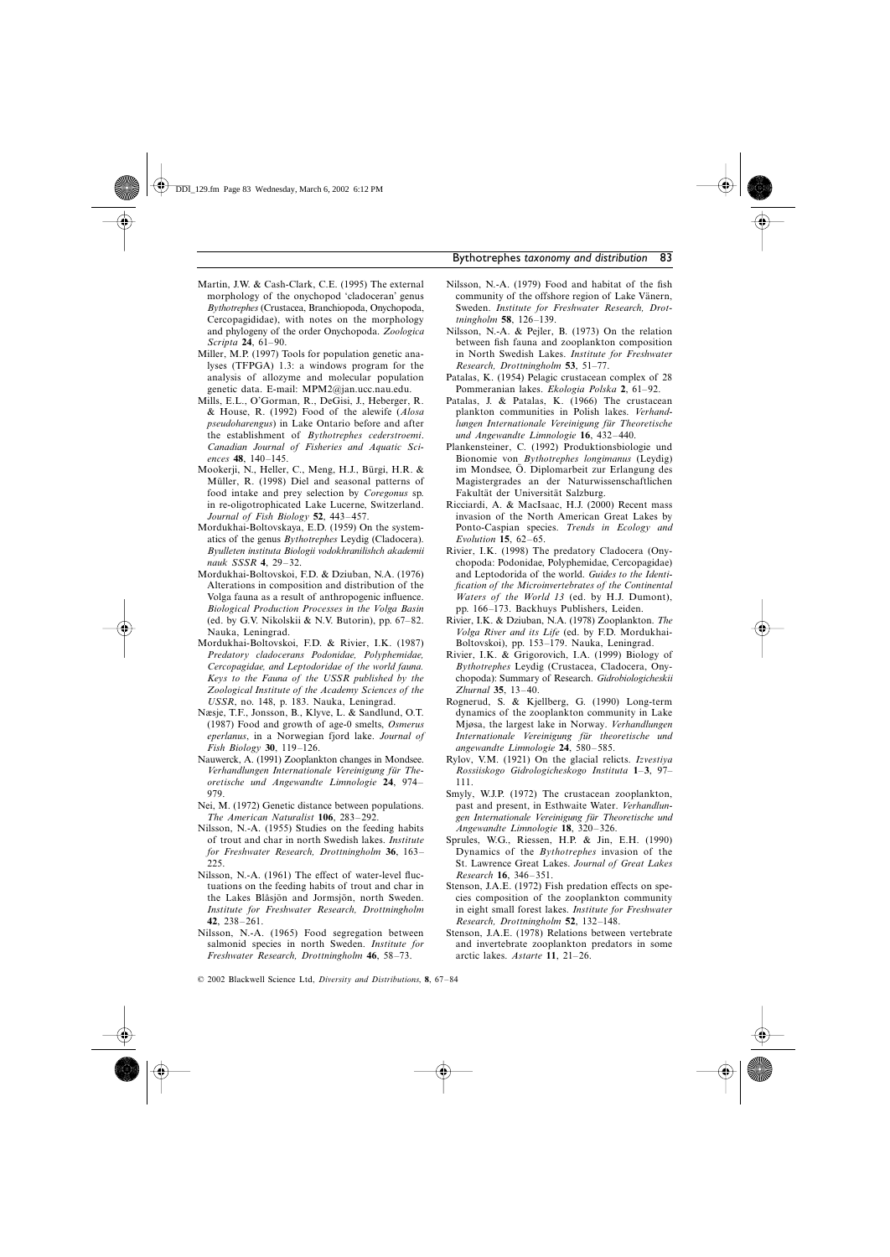- Martin, J.W. & Cash-Clark, C.E. (1995) The external morphology of the onychopod 'cladoceran' genus *Bythotrephes* (Crustacea, Branchiopoda, Onychopoda, Cercopagididae), with notes on the morphology and phylogeny of the order Onychopoda. *Zoologica Scripta* **24**, 61–90.
- Miller, M.P. (1997) Tools for population genetic analyses (TFPGA) 1.3: a windows program for the analysis of allozyme and molecular population genetic data. E-mail: MPM2@jan.ucc.nau.edu.
- Mills, E.L., O'Gorman, R., DeGisi, J., Heberger, R. & House, R. (1992) Food of the alewife (*Alosa pseudoharengus*) in Lake Ontario before and after the establishment of *Bythotrephes cederstroemi*. *Canadian Journal of Fisheries and Aquatic Sciences* **48**, 140–145.
- Mookerji, N., Heller, C., Meng, H.J., Bürgi, H.R. & Müller, R. (1998) Diel and seasonal patterns of food intake and prey selection by *Coregonus* sp. in re-oligotrophicated Lake Lucerne, Switzerland. *Journal of Fish Biology* **52**, 443–457.
- Mordukhai-Boltovskaya, E.D. (1959) On the systematics of the genus *Bythotrephes* Leydig (Cladocera). *Byulleten instituta Biologii vodokhranilishch akademii nauk SSSR* **4**, 29–32.
- Mordukhai-Boltovskoi, F.D. & Dziuban, N.A. (1976) Alterations in composition and distribution of the Volga fauna as a result of anthropogenic influence. *Biological Production Processes in the Volga Basin* (ed. by G.V. Nikolskii & N.V. Butorin), pp. 67–82. Nauka, Leningrad.
- Mordukhai-Boltovskoi, F.D. & Rivier, I.K. (1987) *Predatory cladocerans Podonidae, Polyphemidae, Cercopagidae, and Leptodoridae of the world fauna. Keys to the Fauna of the USSR published by the Zoological Institute of the Academy Sciences of the USSR*, no. 148, p. 183. Nauka, Leningrad.
- Næsje, T.F., Jonsson, B., Klyve, L. & Sandlund, O.T. (1987) Food and growth of age-0 smelts, *Osmerus eperlanus*, in a Norwegian fjord lake. *Journal of Fish Biology* **30**, 119–126.
- Nauwerck, A. (1991) Zooplankton changes in Mondsee. *Verhandlungen Internationale Vereinigung für Theoretische und Angewandte Limnologie* **24**, 974– 979.
- Nei, M. (1972) Genetic distance between populations. *The American Naturalist* **106**, 283–292.
- Nilsson, N.-A. (1955) Studies on the feeding habits of trout and char in north Swedish lakes. *Institute for Freshwater Research, Drottningholm* **36**, 163– 225.
- Nilsson, N.-A. (1961) The effect of water-level fluctuations on the feeding habits of trout and char in the Lakes Blåsjön and Jormsjön, north Sweden. *Institute for Freshwater Research, Drottningholm* **42**, 238–261.
- Nilsson, N.-A. (1965) Food segregation between salmonid species in north Sweden. *Institute for Freshwater Research, Drottningholm* **46**, 58–73.
- Nilsson, N.-A. (1979) Food and habitat of the fish community of the offshore region of Lake Vänern, Sweden. *Institute for Freshwater Research, Drottningholm* **58**, 126–139.
- Nilsson, N.-A. & Pejler, B. (1973) On the relation between fish fauna and zooplankton composition in North Swedish Lakes. *Institute for Freshwater Research, Drottningholm* **53**, 51–77.
- Patalas, K. (1954) Pelagic crustacean complex of 28 Pommeranian lakes. *Ekologia Polska* **2**, 61–92.
- Patalas, J. & Patalas, K. (1966) The crustacean plankton communities in Polish lakes. *Verhandlungen Internationale Vereinigung für Theoretische und Angewandte Limnologie* **16**, 432–440.
- Plankensteiner, C. (1992) Produktionsbiologie und Bionomie von *Bythotrephes longimanus* (Leydig) im Mondsee, Ö. Diplomarbeit zur Erlangung des Magistergrades an der Naturwissenschaftlichen Fakultät der Universität Salzburg.
- Ricciardi, A. & MacIsaac, H.J. (2000) Recent mass invasion of the North American Great Lakes by Ponto-Caspian species. *Trends in Ecology and Evolution* **15**, 62–65.
- Rivier, I.K. (1998) The predatory Cladocera (Onychopoda: Podonidae, Polyphemidae, Cercopagidae) and Leptodorida of the world. *Guides to the Identification of the Microinvertebrates of the Continental Waters of the World 13* (ed. by H.J. Dumont), pp. 166–173. Backhuys Publishers, Leiden.
- Rivier, I.K. & Dziuban, N.A. (1978) Zooplankton. *The Volga River and its Life* (ed. by F.D. Mordukhai-Boltovskoi), pp. 153–179. Nauka, Leningrad.
- Rivier, I.K. & Grigorovich, I.A. (1999) Biology of *Bythotrephes* Leydig (Crustacea, Cladocera, Onychopoda): Summary of Research. *Gidrobiologicheskii Zhurnal* **35**, 13–40.
- Rognerud, S. & Kjellberg, G. (1990) Long-term dynamics of the zooplankton community in Lake Mjøsa, the largest lake in Norway. *Verhandlungen Internationale Vereinigung für theoretische und angewandte Limnologie* **24**, 580–585.
- Rylov, V.M. (1921) On the glacial relicts. *Izvestiya Rossiiskogo Gidrologicheskogo Instituta* **1**–**3**, 97– 111.
- Smyly, W.J.P. (1972) The crustacean zooplankton, past and present, in Esthwaite Water. *Verhandlungen Internationale Vereinigung für Theoretische und Angewandte Limnologie* **18**, 320–326.
- Sprules, W.G., Riessen, H.P. & Jin, E.H. (1990) Dynamics of the *Bythotrephes* invasion of the St. Lawrence Great Lakes. *Journal of Great Lakes Research* **16**, 346–351.
- Stenson, J.A.E. (1972) Fish predation effects on species composition of the zooplankton community in eight small forest lakes. *Institute for Freshwater Research, Drottningholm* **52**, 132–148.
- Stenson, J.A.E. (1978) Relations between vertebrate and invertebrate zooplankton predators in some arctic lakes. *Astarte* **11**, 21–26.

<sup>© 2002</sup> Blackwell Science Ltd, *Diversity and Distributions*, **8**, 67–84